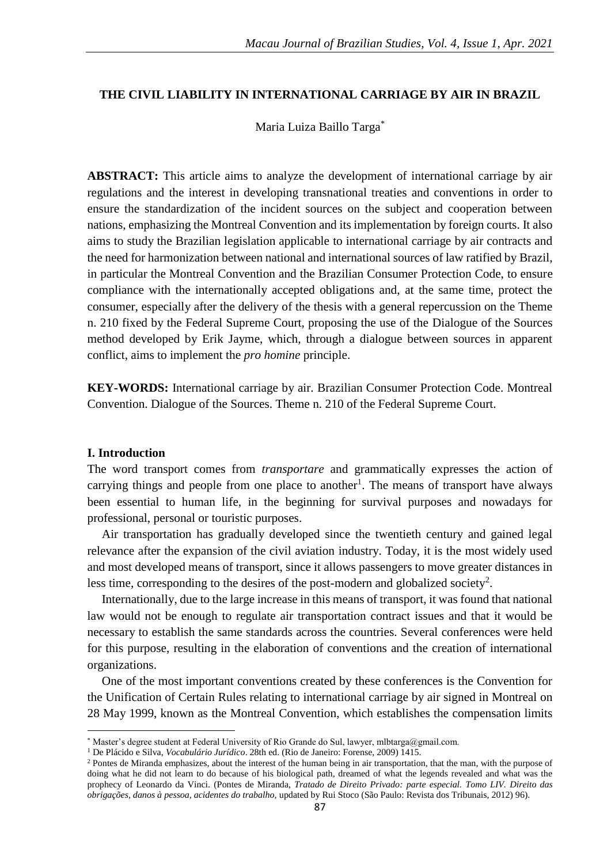### **THE CIVIL LIABILITY IN INTERNATIONAL CARRIAGE BY AIR IN BRAZIL**

Maria Luiza Baillo Targa\*

**ABSTRACT:** This article aims to analyze the development of international carriage by air regulations and the interest in developing transnational treaties and conventions in order to ensure the standardization of the incident sources on the subject and cooperation between nations, emphasizing the Montreal Convention and its implementation by foreign courts. It also aims to study the Brazilian legislation applicable to international carriage by air contracts and the need for harmonization between national and international sources of law ratified by Brazil, in particular the Montreal Convention and the Brazilian Consumer Protection Code, to ensure compliance with the internationally accepted obligations and, at the same time, protect the consumer, especially after the delivery of the thesis with a general repercussion on the Theme n. 210 fixed by the Federal Supreme Court, proposing the use of the Dialogue of the Sources method developed by Erik Jayme, which, through a dialogue between sources in apparent conflict, aims to implement the *pro homine* principle.

**KEY-WORDS:** International carriage by air. Brazilian Consumer Protection Code. Montreal Convention. Dialogue of the Sources. Theme n. 210 of the Federal Supreme Court.

### **I. Introduction**

**.** 

The word transport comes from *transportare* and grammatically expresses the action of carrying things and people from one place to another<sup>1</sup>. The means of transport have always been essential to human life, in the beginning for survival purposes and nowadays for professional, personal or touristic purposes.

Air transportation has gradually developed since the twentieth century and gained legal relevance after the expansion of the civil aviation industry. Today, it is the most widely used and most developed means of transport, since it allows passengers to move greater distances in less time, corresponding to the desires of the post-modern and globalized society<sup>2</sup>.

Internationally, due to the large increase in this means of transport, it was found that national law would not be enough to regulate air transportation contract issues and that it would be necessary to establish the same standards across the countries. Several conferences were held for this purpose, resulting in the elaboration of conventions and the creation of international organizations.

One of the most important conventions created by these conferences is the Convention for the Unification of Certain Rules relating to international carriage by air signed in Montreal on 28 May 1999, known as the Montreal Convention, which establishes the compensation limits

<sup>\*</sup> Master's degree student at Federal University of Rio Grande do Sul, lawyer, mlbtarga@gmail.com.

<sup>1</sup> De Plácido e Silva, *Vocabulário Jurídico*. 28th ed. (Rio de Janeiro: Forense, 2009) 1415.

<sup>&</sup>lt;sup>2</sup> Pontes de Miranda emphasizes, about the interest of the human being in air transportation, that the man, with the purpose of doing what he did not learn to do because of his biological path, dreamed of what the legends revealed and what was the prophecy of Leonardo da Vinci. (Pontes de Miranda, *Tratado de Direito Privado: parte especial. Tomo LIV. Direito das obrigações, danos à pessoa, acidentes do trabalho,* updated by Rui Stoco (São Paulo: Revista dos Tribunais, 2012) 96).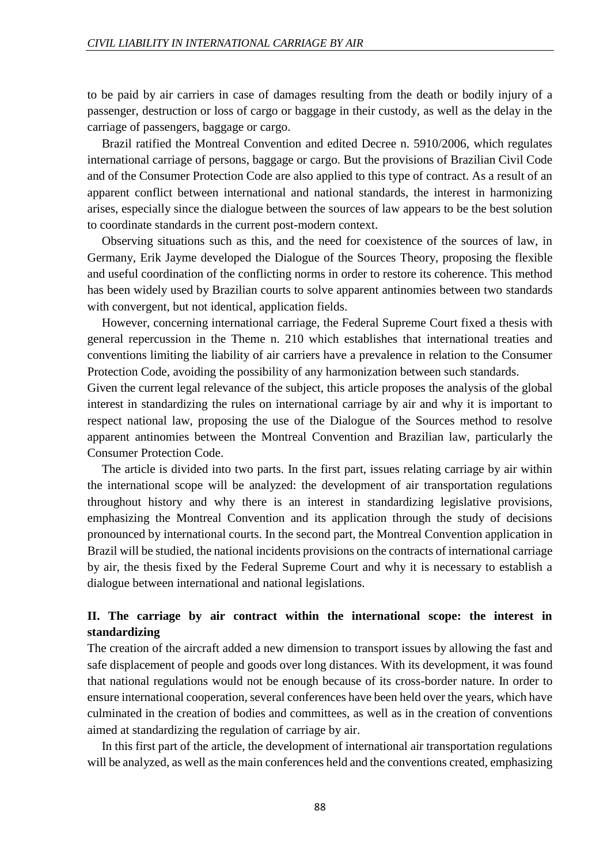to be paid by air carriers in case of damages resulting from the death or bodily injury of a passenger, destruction or loss of cargo or baggage in their custody, as well as the delay in the carriage of passengers, baggage or cargo.

Brazil ratified the Montreal Convention and edited Decree n. 5910/2006, which regulates international carriage of persons, baggage or cargo. But the provisions of Brazilian Civil Code and of the Consumer Protection Code are also applied to this type of contract. As a result of an apparent conflict between international and national standards, the interest in harmonizing arises, especially since the dialogue between the sources of law appears to be the best solution to coordinate standards in the current post-modern context.

Observing situations such as this, and the need for coexistence of the sources of law, in Germany, Erik Jayme developed the Dialogue of the Sources Theory, proposing the flexible and useful coordination of the conflicting norms in order to restore its coherence. This method has been widely used by Brazilian courts to solve apparent antinomies between two standards with convergent, but not identical, application fields.

However, concerning international carriage, the Federal Supreme Court fixed a thesis with general repercussion in the Theme n. 210 which establishes that international treaties and conventions limiting the liability of air carriers have a prevalence in relation to the Consumer Protection Code, avoiding the possibility of any harmonization between such standards.

Given the current legal relevance of the subject, this article proposes the analysis of the global interest in standardizing the rules on international carriage by air and why it is important to respect national law, proposing the use of the Dialogue of the Sources method to resolve apparent antinomies between the Montreal Convention and Brazilian law, particularly the Consumer Protection Code.

The article is divided into two parts. In the first part, issues relating carriage by air within the international scope will be analyzed: the development of air transportation regulations throughout history and why there is an interest in standardizing legislative provisions, emphasizing the Montreal Convention and its application through the study of decisions pronounced by international courts. In the second part, the Montreal Convention application in Brazil will be studied, the national incidents provisions on the contracts of international carriage by air, the thesis fixed by the Federal Supreme Court and why it is necessary to establish a dialogue between international and national legislations.

## **II. The carriage by air contract within the international scope: the interest in standardizing**

The creation of the aircraft added a new dimension to transport issues by allowing the fast and safe displacement of people and goods over long distances. With its development, it was found that national regulations would not be enough because of its cross-border nature. In order to ensure international cooperation, several conferences have been held over the years, which have culminated in the creation of bodies and committees, as well as in the creation of conventions aimed at standardizing the regulation of carriage by air.

In this first part of the article, the development of international air transportation regulations will be analyzed, as well as the main conferences held and the conventions created, emphasizing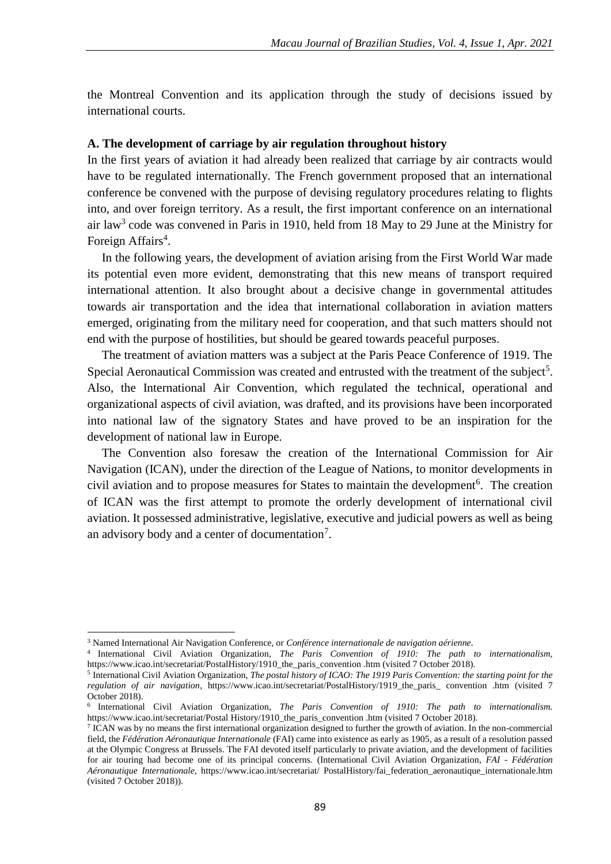the Montreal Convention and its application through the study of decisions issued by international courts.

#### **A. The development of carriage by air regulation throughout history**

In the first years of aviation it had already been realized that carriage by air contracts would have to be regulated internationally. The French government proposed that an international conference be convened with the purpose of devising regulatory procedures relating to flights into, and over foreign territory. As a result, the first important conference on an international air law<sup>3</sup> code was convened in Paris in 1910, held from 18 May to 29 June at the Ministry for Foreign Affairs<sup>4</sup>.

In the following years, the development of aviation arising from the First World War made its potential even more evident, demonstrating that this new means of transport required international attention. It also brought about a decisive change in governmental attitudes towards air transportation and the idea that international collaboration in aviation matters emerged, originating from the military need for cooperation, and that such matters should not end with the purpose of hostilities, but should be geared towards peaceful purposes.

The treatment of aviation matters was a subject at the Paris Peace Conference of 1919. The Special Aeronautical Commission was created and entrusted with the treatment of the subject<sup>5</sup>. Also, the International Air Convention, which regulated the technical, operational and organizational aspects of civil aviation, was drafted, and its provisions have been incorporated into national law of the signatory States and have proved to be an inspiration for the development of national law in Europe.

The Convention also foresaw the creation of the International Commission for Air Navigation (ICAN), under the direction of the League of Nations, to monitor developments in civil aviation and to propose measures for States to maintain the development<sup>6</sup>. The creation of ICAN was the first attempt to promote the orderly development of international civil aviation. It possessed administrative, legislative, executive and judicial powers as well as being an advisory body and a center of documentation<sup>7</sup>.

<sup>3</sup> Named International Air Navigation Conference, or *Conférence internationale de navigation aérienne*.

<sup>4</sup> International Civil Aviation Organization, *The Paris Convention of 1910: The path to internationalism,*  https://www.icao.int/secretariat/PostalHistory/1910\_the\_paris\_convention .htm (visited 7 October 2018).

<sup>5</sup> International Civil Aviation Organization, *The postal history of ICAO: The 1919 Paris Convention: the starting point for the regulation of air navigation*, https://www.icao.int/secretariat/PostalHistory/1919\_the\_paris\_ convention .htm (visited 7 October 2018).

<sup>6</sup> International Civil Aviation Organization, *The Paris Convention of 1910: The path to internationalism.* https://www.icao.int/secretariat/Postal History/1910\_the\_paris\_convention .htm (visited 7 October 2018).

<sup>&</sup>lt;sup>7</sup> ICAN was by no means the first international organization designed to further the growth of aviation. In the non-commercial field, the *Fédération Aéronautique Internationale* (FAI) came into existence as early as 1905, as a result of a resolution passed at the Olympic Congress at Brussels. The FAI devoted itself particularly to private aviation, and the development of facilities for air touring had become one of its principal concerns. (International Civil Aviation Organization, *FAI - Fédération Aéronautique Internationale,* https://www.icao.int/secretariat/ PostalHistory/fai\_federation\_aeronautique\_internationale.htm (visited 7 October 2018)).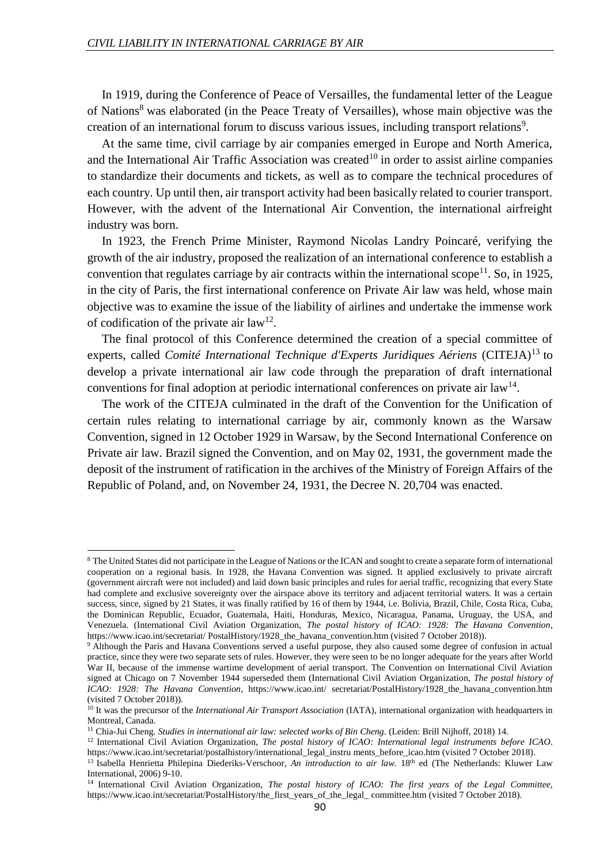$\overline{a}$ 

In 1919, during the Conference of Peace of Versailles, the fundamental letter of the League of Nations<sup>8</sup> was elaborated (in the Peace Treaty of Versailles), whose main objective was the creation of an international forum to discuss various issues, including transport relations<sup>9</sup>.

At the same time, civil carriage by air companies emerged in Europe and North America, and the International Air Traffic Association was created<sup>10</sup> in order to assist airline companies to standardize their documents and tickets, as well as to compare the technical procedures of each country. Up until then, air transport activity had been basically related to courier transport. However, with the advent of the International Air Convention, the international airfreight industry was born.

In 1923, the French Prime Minister, Raymond Nicolas Landry Poincaré, verifying the growth of the air industry, proposed the realization of an international conference to establish a convention that regulates carriage by air contracts within the international scope<sup>11</sup>. So, in 1925, in the city of Paris, the first international conference on Private Air law was held, whose main objective was to examine the issue of the liability of airlines and undertake the immense work of codification of the private air  $law<sup>12</sup>$ .

The final protocol of this Conference determined the creation of a special committee of experts, called *Comité International Technique d'Experts Juridiques Aériens* (CITEJA)<sup>13</sup> to develop a private international air law code through the preparation of draft international conventions for final adoption at periodic international conferences on private air  $law<sup>14</sup>$ .

The work of the CITEJA culminated in the draft of the Convention for the Unification of certain rules relating to international carriage by air, commonly known as the Warsaw Convention, signed in 12 October 1929 in Warsaw, by the Second International Conference on Private air law. Brazil signed the Convention, and on May 02, 1931, the government made the deposit of the instrument of ratification in the archives of the Ministry of Foreign Affairs of the Republic of Poland, and, on November 24, 1931, the Decree N. 20,704 was enacted.

<sup>8</sup> The United States did not participate in the League of Nations or the ICAN and sought to create a separate form of international cooperation on a regional basis. In 1928, the Havana Convention was signed. It applied exclusively to private aircraft (government aircraft were not included) and laid down basic principles and rules for aerial traffic, recognizing that every State had complete and exclusive sovereignty over the airspace above its territory and adjacent territorial waters. It was a certain success, since, signed by 21 States, it was finally ratified by 16 of them by 1944, i.e. Bolivia, Brazil, Chile, Costa Rica, Cuba, the Dominican Republic, Ecuador, Guatemala, Haiti, Honduras, Mexico, Nicaragua, Panama, Uruguay, the USA, and Venezuela. (International Civil Aviation Organization, *The postal history of ICAO: 1928: The Havana Convention*, https://www.icao.int/secretariat/ PostalHistory/1928\_the\_havana\_convention.htm (visited 7 October 2018)).

<sup>&</sup>lt;sup>9</sup> Although the Paris and Havana Conventions served a useful purpose, they also caused some degree of confusion in actual practice, since they were two separate sets of rules. However, they were seen to be no longer adequate for the years after World War II, because of the immense wartime development of aerial transport. The Convention on International Civil Aviation signed at Chicago on 7 November 1944 superseded them (International Civil Aviation Organization, *The postal history of ICAO: 1928: The Havana Convention*, https://www.icao.int/ secretariat/PostalHistory/1928\_the\_havana\_convention.htm (visited 7 October 2018)).

<sup>&</sup>lt;sup>10</sup> It was the precursor of the *International Air Transport Association* (IATA), international organization with headquarters in Montreal, Canada.

<sup>11</sup> Chia-Jui Cheng*. Studies in international air law: selected works of Bin Cheng*. (Leiden: Brill Nijhoff, 2018) 14.

<sup>12</sup> International Civil Aviation Organization, *The postal history of ICAO: International legal instruments before ICAO*. https://www.icao.int/secretariat/postalhistory/international\_legal\_instru ments\_before\_icao.htm (visited 7 October 2018).

<sup>&</sup>lt;sup>13</sup> Isabella Henrietta Philepina Diederiks-Verschoor, *An introduction to air law*. 18<sup>th</sup> ed (The Netherlands: Kluwer Law International, 2006) 9-10.

<sup>14</sup> International Civil Aviation Organization, *The postal history of ICAO: The first years of the Legal Committee,*  https://www.icao.int/secretariat/PostalHistory/the\_first\_years\_of\_the\_legal\_ committee.htm (visited 7 October 2018).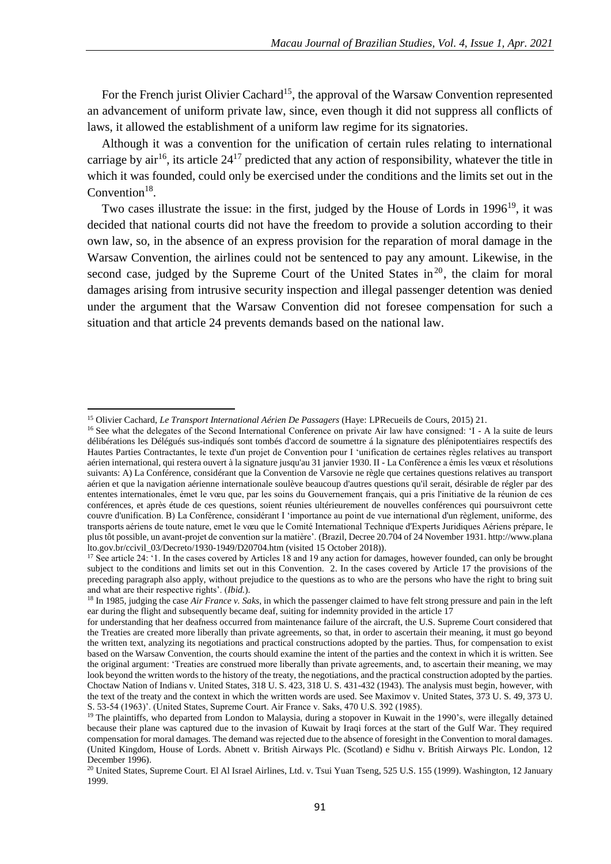For the French jurist Olivier Cachard<sup>15</sup>, the approval of the Warsaw Convention represented an advancement of uniform private law, since, even though it did not suppress all conflicts of laws, it allowed the establishment of a uniform law regime for its signatories.

Although it was a convention for the unification of certain rules relating to international carriage by air<sup>16</sup>, its article  $24^{17}$  predicted that any action of responsibility, whatever the title in which it was founded, could only be exercised under the conditions and the limits set out in the Convention $18$ .

Two cases illustrate the issue: in the first, judged by the House of Lords in 1996<sup>19</sup>, it was decided that national courts did not have the freedom to provide a solution according to their own law, so, in the absence of an express provision for the reparation of moral damage in the Warsaw Convention, the airlines could not be sentenced to pay any amount. Likewise, in the second case, judged by the Supreme Court of the United States in<sup>20</sup>, the claim for moral damages arising from intrusive security inspection and illegal passenger detention was denied under the argument that the Warsaw Convention did not foresee compensation for such a situation and that article 24 prevents demands based on the national law.

<sup>15</sup> Olivier Cachard, *Le Transport International Aérien De Passagers* (Haye: LPRecueils de Cours, 2015) 21.

<sup>&</sup>lt;sup>16</sup> See what the delegates of the Second International Conference on private Air law have consigned: 'I - A la suite de leurs délibérations les Délégués sus-indiqués sont tombés d'accord de soumettre á la signature des plénipotentiaires respectifs des Hautes Parties Contractantes, le texte d'un projet de Convention pour I 'unification de certaines règles relatives au transport aérien international, qui restera ouvert à la signature jusqu'au 31 janvier 1930. II - La Conférence a émis les vœux et résolutions suivants: A) La Conférence, considérant que la Convention de Varsovie ne règle que certaines questions relatives au transport aérien et que la navigation aérienne internationale soulève beaucoup d'autres questions qu'il serait, désirable de régler par des ententes internationales, émet le vœu que, par les soins du Gouvernement français, qui a pris l'initiative de la réunion de ces conférences, et après étude de ces questions, soient réunies ultérieurement de nouvelles conférences qui poursuivront cette couvre d'unification. B) La Conférence, considérant I 'importance au point de vue international d'un règlement, uniforme, des transports aériens de toute nature, emet le vœu que le Comité International Technique d'Experts Juridiques Aériens prépare, le plus tôt possible, un avant-projet de convention sur la matière'. (Brazil, Decree 20.704 of 24 November 1931. http://www.plana  $\frac{1}{10}$  lto.gov.br/ccivil 03/Decreto/1930-1949/D20704.htm (visited 15 October 2018)).

<sup>&</sup>lt;sup>17</sup> See article 24: '1. In the cases covered by Articles 18 and 19 any action for damages, however founded, can only be brought subject to the conditions and limits set out in this Convention. 2. In the cases covered by Article 17 the provisions of the preceding paragraph also apply, without prejudice to the questions as to who are the persons who have the right to bring suit and what are their respective rights'. (*Ibid.*).

<sup>&</sup>lt;sup>18</sup> In 1985, judging the case *Air France v. Saks*, in which the passenger claimed to have felt strong pressure and pain in the left ear during the flight and subsequently became deaf, suiting for indemnity provided in the article 17

for understanding that her deafness occurred from maintenance failure of the aircraft, the U.S. Supreme Court considered that the Treaties are created more liberally than private agreements, so that, in order to ascertain their meaning, it must go beyond the written text, analyzing its negotiations and practical constructions adopted by the parties. Thus, for compensation to exist based on the Warsaw Convention, the courts should examine the intent of the parties and the context in which it is written. See the original argument: 'Treaties are construed more liberally than private agreements, and, to ascertain their meaning, we may look beyond the written words to the history of the treaty, the negotiations, and the practical construction adopted by the parties. Choctaw Nation of Indians v. United States, 318 U. S. 423, 318 U. S. 431-432 (1943). The analysis must begin, however, with the text of the treaty and the context in which the written words are used. See Maximov v. United States, 373 U. S. 49, 373 U. S. 53-54 (1963)'. (United States, Supreme Court. Air France v. Saks, 470 U.S. 392 (1985).

<sup>&</sup>lt;sup>19</sup> The plaintiffs, who departed from London to Malaysia, during a stopover in Kuwait in the 1990's, were illegally detained because their plane was captured due to the invasion of Kuwait by Iraqi forces at the start of the Gulf War. They required compensation for moral damages. The demand was rejected due to the absence of foresight in the Convention to moral damages. (United Kingdom, House of Lords. Abnett v. British Airways Plc. (Scotland) e Sidhu v. British Airways Plc. London, 12 December 1996).

<sup>&</sup>lt;sup>20</sup> United States, Supreme Court. El Al Israel Airlines, Ltd. v. Tsui Yuan Tseng, 525 U.S. 155 (1999). Washington, 12 January 1999.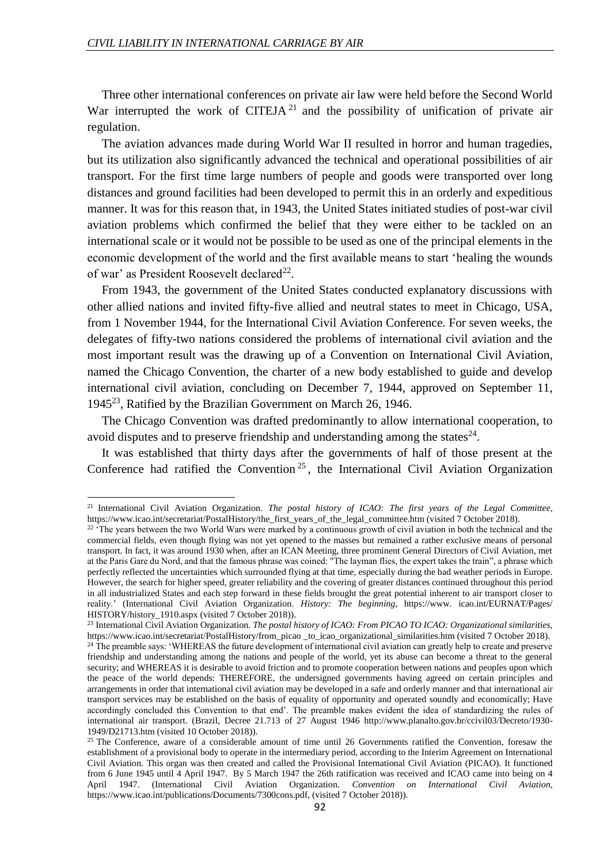$\overline{a}$ 

Three other international conferences on private air law were held before the Second World War interrupted the work of CITEJA<sup>21</sup> and the possibility of unification of private air regulation.

The aviation advances made during World War II resulted in horror and human tragedies, but its utilization also significantly advanced the technical and operational possibilities of air transport. For the first time large numbers of people and goods were transported over long distances and ground facilities had been developed to permit this in an orderly and expeditious manner. It was for this reason that, in 1943, the United States initiated studies of post-war civil aviation problems which confirmed the belief that they were either to be tackled on an international scale or it would not be possible to be used as one of the principal elements in the economic development of the world and the first available means to start 'healing the wounds of war' as President Roosevelt declared<sup>22</sup>.

From 1943, the government of the United States conducted explanatory discussions with other allied nations and invited fifty-five allied and neutral states to meet in Chicago, USA, from 1 November 1944, for the International Civil Aviation Conference. For seven weeks, the delegates of fifty-two nations considered the problems of international civil aviation and the most important result was the drawing up of a Convention on International Civil Aviation, named the Chicago Convention, the charter of a new body established to guide and develop international civil aviation, concluding on December 7, 1944, approved on September 11, 1945<sup>23</sup>, Ratified by the Brazilian Government on March 26, 1946.

The Chicago Convention was drafted predominantly to allow international cooperation, to avoid disputes and to preserve friendship and understanding among the states $^{24}$ .

It was established that thirty days after the governments of half of those present at the Conference had ratified the Convention<sup>25</sup>, the International Civil Aviation Organization

<sup>21</sup> International Civil Aviation Organization. *The postal history of ICAO: The first years of the Legal Committee,*  https://www.icao.int/secretariat/PostalHistory/the\_first\_years\_of\_the\_legal\_committee.htm (visited 7 October 2018).

<sup>&</sup>lt;sup>22 \*</sup>The years between the two World Wars were marked by a continuous growth of civil aviation in both the technical and the commercial fields, even though flying was not yet opened to the masses but remained a rather exclusive means of personal transport. In fact, it was around 1930 when, after an ICAN Meeting, three prominent General Directors of Civil Aviation, met at the Paris Gare du Nord, and that the famous phrase was coined: "The layman flies, the expert takes the train", a phrase which perfectly reflected the uncertainties which surrounded flying at that time, especially during the bad weather periods in Europe. However, the search for higher speed, greater reliability and the covering of greater distances continued throughout this period in all industrialized States and each step forward in these fields brought the great potential inherent to air transport closer to reality.' (International Civil Aviation Organization. *History: The beginning*, https://www. icao.int/EURNAT/Pages/ HISTORY/history\_1910.aspx (visited 7 October 2018)).

<sup>23</sup> International Civil Aviation Organization. *The postal history of ICAO: From PICAO TO ICAO: Organizational similarities,*  https://www.icao.int/secretariat/PostalHistory/from\_picao\_to\_icao\_organizational\_similarities.htm (visited 7 October 2018). <sup>24</sup> The preamble says: 'WHEREAS the future development of international civil aviation can greatly help to create and preserve friendship and understanding among the nations and people of the world, yet its abuse can become a threat to the general security; and WHEREAS it is desirable to avoid friction and to promote cooperation between nations and peoples upon which the peace of the world depends: THEREFORE, the undersigned governments having agreed on certain principles and arrangements in order that international civil aviation may be developed in a safe and orderly manner and that international air transport services may be established on the basis of equality of opportunity and operated soundly and economically; Have accordingly concluded this Convention to that end'. The preamble makes evident the idea of standardizing the rules of international air transport. (Brazil, Decree 21.713 of 27 August 1946 http://www.planalto.gov.br/ccivil03/Decreto/1930- 1949/D21713.htm (visited 10 October 2018)).

<sup>&</sup>lt;sup>25</sup> The Conference, aware of a considerable amount of time until 26 Governments ratified the Convention, foresaw the establishment of a provisional body to operate in the intermediary period, according to the Interim Agreement on International Civil Aviation. This organ was then created and called the Provisional International Civil Aviation (PICAO). It functioned from 6 June 1945 until 4 April 1947. By 5 March 1947 the 26th ratification was received and ICAO came into being on 4 April 1947. (International Civil Aviation Organization. *Convention on International Civil Aviation,*  https://www.icao.int/publications/Documents/7300cons.pdf, (visited 7 October 2018)).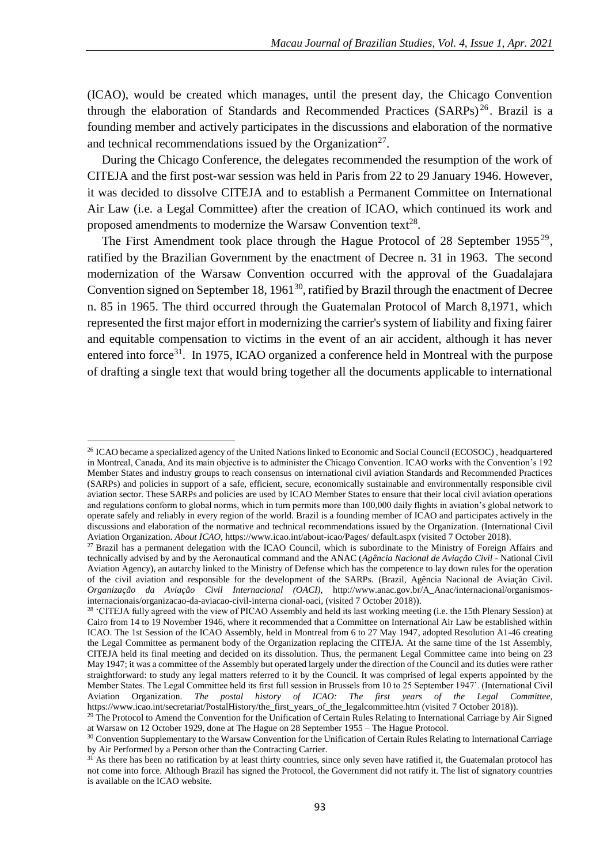(ICAO), would be created which manages, until the present day, the Chicago Convention through the elaboration of Standards and Recommended Practices (SARPs)<sup>26</sup>. Brazil is a founding member and actively participates in the discussions and elaboration of the normative and technical recommendations issued by the Organization<sup>27</sup>.

During the Chicago Conference, the delegates recommended the resumption of the work of CITEJA and the first post-war session was held in Paris from 22 to 29 January 1946. However, it was decided to dissolve CITEJA and to establish a Permanent Committee on International Air Law (i.e. a Legal Committee) after the creation of ICAO, which continued its work and proposed amendments to modernize the Warsaw Convention text<sup>28</sup>.

The First Amendment took place through the Hague Protocol of 28 September  $1955^{29}$ , ratified by the Brazilian Government by the enactment of Decree n. 31 in 1963. The second modernization of the Warsaw Convention occurred with the approval of the Guadalajara Convention signed on September 18, 1961<sup>30</sup>, ratified by Brazil through the enactment of Decree n. 85 in 1965. The third occurred through the Guatemalan Protocol of March 8,1971, which represented the first major effort in modernizing the carrier's system of liability and fixing fairer and equitable compensation to victims in the event of an air accident, although it has never entered into force<sup>31</sup>. In 1975, ICAO organized a conference held in Montreal with the purpose of drafting a single text that would bring together all the documents applicable to international

<sup>&</sup>lt;sup>26</sup> ICAO became a specialized agency of the United Nations linked to Economic and Social Council (ECOSOC), headquartered in Montreal, Canada, And its main objective is to administer the Chicago Convention. ICAO works with the Convention's 192 Member States and industry groups to reach consensus on international civil aviation Standards and Recommended Practices (SARPs) and policies in support of a safe, efficient, secure, economically sustainable and environmentally responsible civil aviation sector. These SARPs and policies are used by ICAO Member States to ensure that their local civil aviation operations and regulations conform to global norms, which in turn permits more than 100,000 daily flights in aviation's global network to operate safely and reliably in every region of the world. Brazil is a founding member of ICAO and participates actively in the discussions and elaboration of the normative and technical recommendations issued by the Organization. (International Civil Aviation Organization. *About ICAO,* https://www.icao.int/about-icao/Pages/ default.aspx (visited 7 October 2018).

<sup>&</sup>lt;sup>27</sup> Brazil has a permanent delegation with the ICAO Council, which is subordinate to the Ministry of Foreign Affairs and technically advised by and by the Aeronautical command and the ANAC (*Agência Nacional de Aviação Civil -* National Civil Aviation Agency), an autarchy linked to the Ministry of Defense which has the competence to lay down rules for the operation of the civil aviation and responsible for the development of the SARPs. (Brazil, Agência Nacional de Aviação Civil. *Organização da Aviação Civil Internacional (OACI),* http://www.anac.gov.br/A\_Anac/internacional/organismosinternacionais/organizacao-da-aviacao-civil-interna cional-oaci, (visited 7 October 2018)).

<sup>&</sup>lt;sup>28</sup> 'CITEJA fully agreed with the view of PICAO Assembly and held its last working meeting (i.e. the 15th Plenary Session) at Cairo from 14 to 19 November 1946, where it recommended that a Committee on International Air Law be established within ICAO. The 1st Session of the ICAO Assembly, held in Montreal from 6 to 27 May 1947, adopted Resolution A1-46 creating the Legal Committee as permanent body of the Organization replacing the CITEJA. At the same time of the 1st Assembly, CITEJA held its final meeting and decided on its dissolution. Thus, the permanent Legal Committee came into being on 23 May 1947; it was a committee of the Assembly but operated largely under the direction of the Council and its duties were rather straightforward: to study any legal matters referred to it by the Council. It was comprised of legal experts appointed by the Member States. The Legal Committee held its first full session in Brussels from 10 to 25 September 1947'. (International Civil Aviation Organization. The postal history of ICAO: The first years of the Legal Committee, Aviation Organization. *The postal history of ICAO: The first years of the Legal Committee,*  https://www.icao.int/secretariat/PostalHistory/the\_first\_years\_of\_the\_legalcommittee.htm (visited 7 October 2018)).

 $29$  The Protocol to Amend the Convention for the Unification of Certain Rules Relating to International Carriage by Air Signed at Warsaw on 12 October 1929, done at The Hague on 28 September 1955 – The Hague Protocol.

<sup>&</sup>lt;sup>30</sup> Convention Supplementary to the Warsaw Convention for the Unification of Certain Rules Relating to International Carriage by Air Performed by a Person other than the Contracting Carrier.

 $31$  As there has been no ratification by at least thirty countries, since only seven have ratified it, the Guatemalan protocol has not come into force. Although Brazil has signed the Protocol, the Government did not ratify it. The list of signatory countries is available on the ICAO website.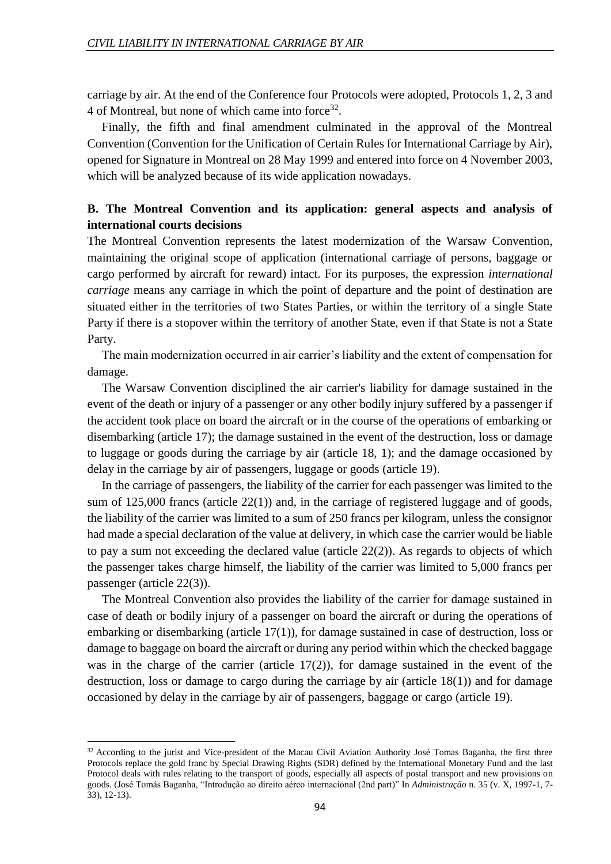carriage by air. At the end of the Conference four Protocols were adopted, Protocols 1, 2, 3 and 4 of Montreal, but none of which came into force<sup>32</sup>.

Finally, the fifth and final amendment culminated in the approval of the Montreal Convention (Convention for the Unification of Certain Rules for International Carriage by Air), opened for Signature in Montreal on 28 May 1999 and entered into force on 4 November 2003, which will be analyzed because of its wide application nowadays.

# **B. The Montreal Convention and its application: general aspects and analysis of international courts decisions**

The Montreal Convention represents the latest modernization of the Warsaw Convention, maintaining the original scope of application (international carriage of persons, baggage or cargo performed by aircraft for reward) intact. For its purposes, the expression *international carriage* means any carriage in which the point of departure and the point of destination are situated either in the territories of two States Parties, or within the territory of a single State Party if there is a stopover within the territory of another State, even if that State is not a State Party.

The main modernization occurred in air carrier's liability and the extent of compensation for damage.

The Warsaw Convention disciplined the air carrier's liability for damage sustained in the event of the death or injury of a passenger or any other bodily injury suffered by a passenger if the accident took place on board the aircraft or in the course of the operations of embarking or disembarking (article 17); the damage sustained in the event of the destruction, loss or damage to luggage or goods during the carriage by air (article 18, 1); and the damage occasioned by delay in the carriage by air of passengers, luggage or goods (article 19).

In the carriage of passengers, the liability of the carrier for each passenger was limited to the sum of  $125,000$  francs (article  $22(1)$ ) and, in the carriage of registered luggage and of goods, the liability of the carrier was limited to a sum of 250 francs per kilogram, unless the consignor had made a special declaration of the value at delivery, in which case the carrier would be liable to pay a sum not exceeding the declared value (article 22(2)). As regards to objects of which the passenger takes charge himself, the liability of the carrier was limited to 5,000 francs per passenger (article 22(3)).

The Montreal Convention also provides the liability of the carrier for damage sustained in case of death or bodily injury of a passenger on board the aircraft or during the operations of embarking or disembarking (article 17(1)), for damage sustained in case of destruction, loss or damage to baggage on board the aircraft or during any period within which the checked baggage was in the charge of the carrier (article  $17(2)$ ), for damage sustained in the event of the destruction, loss or damage to cargo during the carriage by air (article 18(1)) and for damage occasioned by delay in the carriage by air of passengers, baggage or cargo (article 19).

<sup>&</sup>lt;sup>32</sup> According to the jurist and Vice-president of the Macau Civil Aviation Authority José Tomas Baganha, the first three Protocols replace the gold franc by Special Drawing Rights (SDR) defined by the International Monetary Fund and the last Protocol deals with rules relating to the transport of goods, especially all aspects of postal transport and new provisions on goods. (José Tomás Baganha, "Introdução ao direito aéreo internacional (2nd part)" In *Administração* n. 35 (v. X, 1997-1, 7- 33), 12-13).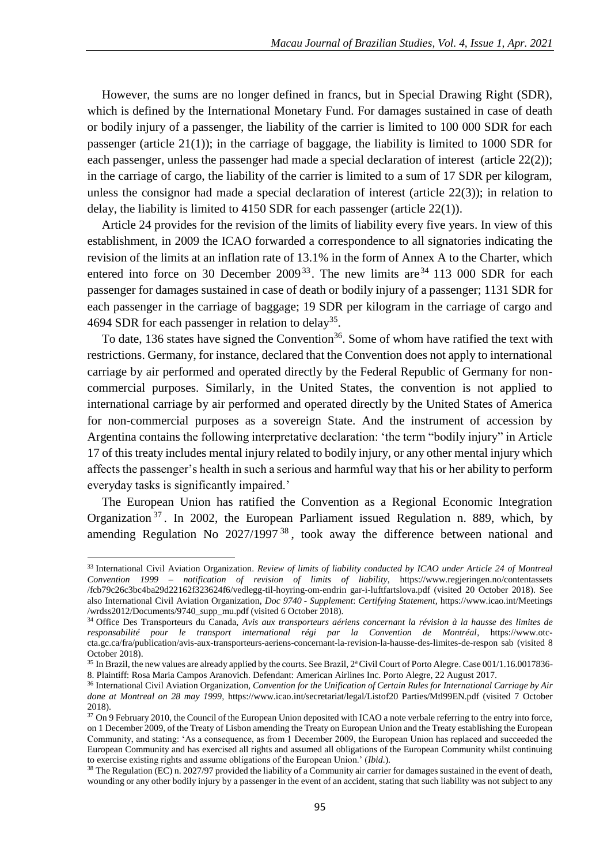However, the sums are no longer defined in francs, but in Special Drawing Right (SDR), which is defined by the International Monetary Fund. For damages sustained in case of death or bodily injury of a passenger, the liability of the carrier is limited to 100 000 SDR for each passenger (article 21(1)); in the carriage of baggage, the liability is limited to 1000 SDR for each passenger, unless the passenger had made a special declaration of interest (article 22(2)); in the carriage of cargo, the liability of the carrier is limited to a sum of 17 SDR per kilogram, unless the consignor had made a special declaration of interest (article 22(3)); in relation to delay, the liability is limited to 4150 SDR for each passenger (article 22(1)).

Article 24 provides for the revision of the limits of liability every five years. In view of this establishment, in 2009 the ICAO forwarded a correspondence to all signatories indicating the revision of the limits at an inflation rate of 13.1% in the form of Annex A to the Charter, which entered into force on 30 December  $2009^{33}$ . The new limits are  $34$  113 000 SDR for each passenger for damages sustained in case of death or bodily injury of a passenger; 1131 SDR for each passenger in the carriage of baggage; 19 SDR per kilogram in the carriage of cargo and 4694 SDR for each passenger in relation to delay<sup>35</sup>.

To date, 136 states have signed the Convention<sup>36</sup>. Some of whom have ratified the text with restrictions. Germany, for instance, declared that the Convention does not apply to international carriage by air performed and operated directly by the Federal Republic of Germany for noncommercial purposes. Similarly, in the United States, the convention is not applied to international carriage by air performed and operated directly by the United States of America for non-commercial purposes as a sovereign State. And the instrument of accession by Argentina contains the following interpretative declaration: 'the term "bodily injury" in Article 17 of this treaty includes mental injury related to bodily injury, or any other mental injury which affects the passenger's health in such a serious and harmful way that his or her ability to perform everyday tasks is significantly impaired.'

The European Union has ratified the Convention as a Regional Economic Integration Organization <sup>37</sup> . In 2002, the European Parliament issued Regulation n. 889, which, by amending Regulation No  $2027/1997^{38}$ , took away the difference between national and

<sup>33</sup> International Civil Aviation Organization. *Review of limits of liability conducted by ICAO under Article 24 of Montreal Convention 1999 – notification of revision of limits of liability*, https://www.regjeringen.no/contentassets /fcb79c26c3bc4ba29d22162f323624f6/vedlegg-til-hoyring-om-endrin gar-i-luftfartslova.pdf (visited 20 October 2018). See also International Civil Aviation Organization, *Doc 9740 - Supplement*: *Certifying Statement,* https://www.icao.int/Meetings /wrdss2012/Documents/9740\_supp\_mu.pdf (visited 6 October 2018).

<sup>34</sup> Office Des Transporteurs du Canada, *Avis aux transporteurs aériens concernant la révision à la hausse des limites de responsabilité pour le transport international régi par la Convention de Montréal*, https://www.otccta.gc.ca/fra/publication/avis-aux-transporteurs-aeriens-concernant-la-revision-la-hausse-des-limites-de-respon sab (visited 8 October 2018).

<sup>&</sup>lt;sup>35</sup> In Brazil, the new values are already applied by the courts. See Brazil, 2<sup>ª</sup> Civil Court of Porto Alegre. Case 001/1.16.0017836-8. Plaintiff: Rosa Maria Campos Aranovich. Defendant: American Airlines Inc. Porto Alegre, 22 August 2017.

<sup>36</sup> International Civil Aviation Organization, *Convention for the Unification of Certain Rules for International Carriage by Air done at Montreal on 28 may 1999,* https://www.icao.int/secretariat/legal/Listof20 Parties/Mtl99EN.pdf (visited 7 October 2018).

<sup>&</sup>lt;sup>37</sup> On 9 February 2010, the Council of the European Union deposited with ICAO a note verbale referring to the entry into force, on 1 December 2009, of the Treaty of Lisbon amending the Treaty on European Union and the Treaty establishing the European Community, and stating: 'As a consequence, as from 1 December 2009, the European Union has replaced and succeeded the European Community and has exercised all rights and assumed all obligations of the European Community whilst continuing to exercise existing rights and assume obligations of the European Union.' (*Ibid.*).

<sup>&</sup>lt;sup>38</sup> The Regulation (EC) n. 2027/97 provided the liability of a Community air carrier for damages sustained in the event of death, wounding or any other bodily injury by a passenger in the event of an accident, stating that such liability was not subject to any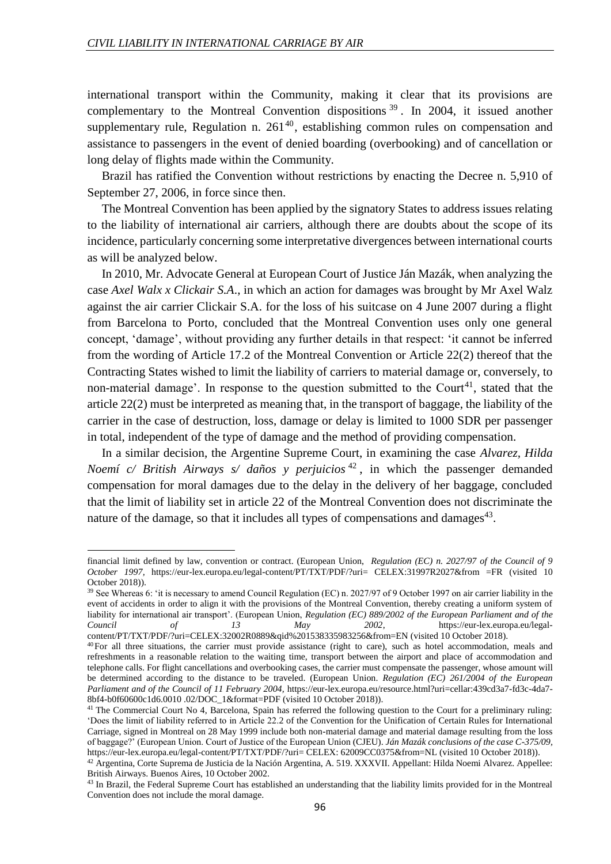international transport within the Community, making it clear that its provisions are complementary to the Montreal Convention dispositions  $39$ . In 2004, it issued another supplementary rule, Regulation n.  $261^{40}$ , establishing common rules on compensation and assistance to passengers in the event of denied boarding (overbooking) and of cancellation or long delay of flights made within the Community.

Brazil has ratified the Convention without restrictions by enacting the Decree n. 5,910 of September 27, 2006, in force since then.

The Montreal Convention has been applied by the signatory States to address issues relating to the liability of international air carriers, although there are doubts about the scope of its incidence, particularly concerning some interpretative divergences between international courts as will be analyzed below.

In 2010, Mr. Advocate General at European Court of Justice Ján Mazák, when analyzing the case *Axel Walx x Clickair S.A*., in which an action for damages was brought by Mr Axel Walz against the air carrier Clickair S.A. for the loss of his suitcase on 4 June 2007 during a flight from Barcelona to Porto, concluded that the Montreal Convention uses only one general concept, 'damage', without providing any further details in that respect: 'it cannot be inferred from the wording of Article 17.2 of the Montreal Convention or Article 22(2) thereof that the Contracting States wished to limit the liability of carriers to material damage or, conversely, to non-material damage'. In response to the question submitted to the Court<sup>41</sup>, stated that the article 22(2) must be interpreted as meaning that, in the transport of baggage, the liability of the carrier in the case of destruction, loss, damage or delay is limited to 1000 SDR per passenger in total, independent of the type of damage and the method of providing compensation.

In a similar decision, the Argentine Supreme Court, in examining the case *Alvarez, Hilda Noemí c/ British Airways s/ daños y perjuicios* <sup>42</sup> , in which the passenger demanded compensation for moral damages due to the delay in the delivery of her baggage, concluded that the limit of liability set in article 22 of the Montreal Convention does not discriminate the nature of the damage, so that it includes all types of compensations and damages<sup>43</sup>.

 $\overline{a}$ 

financial limit defined by law, convention or contract. (European Union, *Regulation (EC) n. 2027/97 of the Council of 9 October 1997,* https://eur-lex.europa.eu/legal-content/PT/TXT/PDF/?uri= CELEX:31997R2027&from =FR (visited 10 October 2018)).

<sup>39</sup> See Whereas 6: 'it is necessary to amend Council Regulation (EC) n. 2027/97 of 9 October 1997 on air carrier liability in the event of accidents in order to align it with the provisions of the Montreal Convention, thereby creating a uniform system of liability for international air transport'. (European Union, *Regulation (EC) 889/2002 of the European Parliament and of the Council of 13 May 2002*, https://eur-lex.europa.eu/legalcontent/PT/TXT/PDF/?uri=CELEX:32002R0889&qid%201538335983256&from=EN (visited 10 October 2018).

<sup>40</sup>For all three situations, the carrier must provide assistance (right to care), such as hotel accommodation, meals and refreshments in a reasonable relation to the waiting time, transport between the airport and place of accommodation and telephone calls. For flight cancellations and overbooking cases, the carrier must compensate the passenger, whose amount will be determined according to the distance to be traveled. (European Union. *Regulation (EC) 261/2004 of the European Parliament and of the Council of 11 February 2004,* https://eur-lex.europa.eu/resource.html?uri=cellar:439cd3a7-fd3c-4da7- 8bf4-b0f60600c1d6.0010 .02/DOC\_1&format=PDF (visited 10 October 2018)).

<sup>&</sup>lt;sup>41</sup> The Commercial Court No 4, Barcelona, Spain has referred the following question to the Court for a preliminary ruling: 'Does the limit of liability referred to in Article 22.2 of the Convention for the Unification of Certain Rules for International Carriage, signed in Montreal on 28 May 1999 include both non-material damage and material damage resulting from the loss of baggage?' (European Union. Court of Justice of the European Union (CJEU). *Ján Mazák conclusions of the case C-375/09,*  https://eur-lex.europa.eu/legal-content/PT/TXT/PDF/?uri= CELEX: 62009CC0375&from=NL (visited 10 October 2018)).

<sup>42</sup> Argentina, Corte Suprema de Justicia de la Nación Argentina, A. 519. XXXVII. Appellant: Hilda Noemi Alvarez. Appellee: British Airways. Buenos Aires, 10 October 2002.

<sup>&</sup>lt;sup>43</sup> In Brazil, the Federal Supreme Court has established an understanding that the liability limits provided for in the Montreal Convention does not include the moral damage.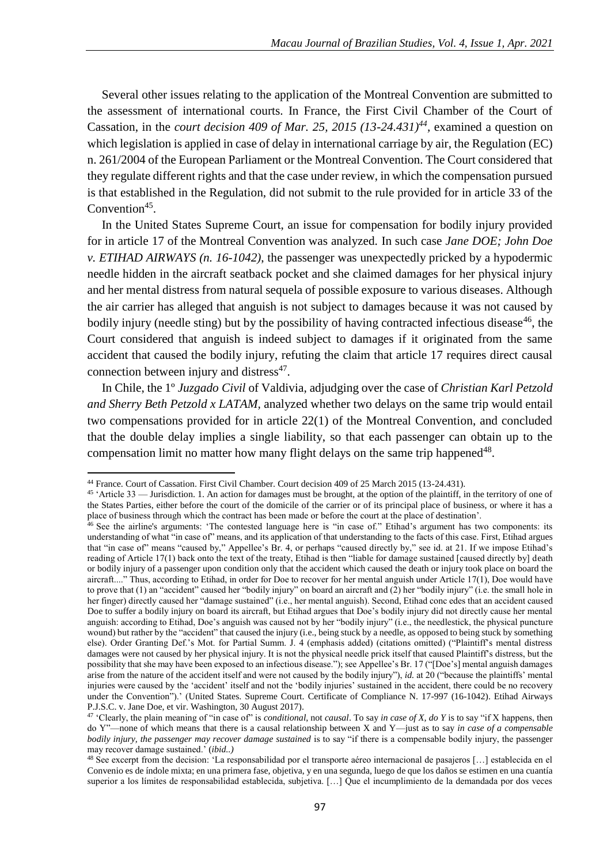Several other issues relating to the application of the Montreal Convention are submitted to the assessment of international courts. In France, the First Civil Chamber of the Court of Cassation, in the *court decision 409 of Mar.* 25, 2015 (13-24.431)<sup>44</sup>, examined a question on which legislation is applied in case of delay in international carriage by air, the Regulation (EC) n. 261/2004 of the European Parliament or the Montreal Convention. The Court considered that they regulate different rights and that the case under review, in which the compensation pursued is that established in the Regulation, did not submit to the rule provided for in article 33 of the Convention<sup>45</sup>.

In the United States Supreme Court, an issue for compensation for bodily injury provided for in article 17 of the Montreal Convention was analyzed. In such case *Jane DOE; John Doe v. ETIHAD AIRWAYS (n. 16-1042)*, the passenger was unexpectedly pricked by a hypodermic needle hidden in the aircraft seatback pocket and she claimed damages for her physical injury and her mental distress from natural sequela of possible exposure to various diseases. Although the air carrier has alleged that anguish is not subject to damages because it was not caused by bodily injury (needle sting) but by the possibility of having contracted infectious disease<sup>46</sup>, the Court considered that anguish is indeed subject to damages if it originated from the same accident that caused the bodily injury, refuting the claim that article 17 requires direct causal connection between injury and distress $47$ .

In Chile, the 1º *Juzgado Civil* of Valdivia, adjudging over the case of *Christian Karl Petzold and Sherry Beth Petzold x LATAM,* analyzed whether two delays on the same trip would entail two compensations provided for in article 22(1) of the Montreal Convention, and concluded that the double delay implies a single liability, so that each passenger can obtain up to the compensation limit no matter how many flight delays on the same trip happened $48$ .

<sup>44</sup> France. Court of Cassation. First Civil Chamber. Court decision 409 of 25 March 2015 (13-24.431).

<sup>&</sup>lt;sup>45</sup> 'Article 33 — Jurisdiction. 1. An action for damages must be brought, at the option of the plaintiff, in the territory of one of the States Parties, either before the court of the domicile of the carrier or of its principal place of business, or where it has a place of business through which the contract has been made or before the court at the place of destination'.

<sup>&</sup>lt;sup>46</sup> See the airline's arguments: 'The contested language here is "in case of." Etihad's argument has two components: its understanding of what "in case of" means, and its application of that understanding to the facts of this case. First, Etihad argues that "in case of" means "caused by," Appellee's Br. 4, or perhaps "caused directly by," see id. at 21. If we impose Etihad's reading of Article 17(1) back onto the text of the treaty, Etihad is then "liable for damage sustained [caused directly by] death or bodily injury of a passenger upon condition only that the accident which caused the death or injury took place on board the aircraft...." Thus, according to Etihad, in order for Doe to recover for her mental anguish under Article 17(1). Doe would have to prove that (1) an "accident" caused her "bodily injury" on board an aircraft and (2) her "bodily injury" (i.e. the small hole in her finger) directly caused her "damage sustained" (i.e., her mental anguish). Second, Etihad conc edes that an accident caused Doe to suffer a bodily injury on board its aircraft, but Etihad argues that Doe's bodily injury did not directly cause her mental anguish: according to Etihad, Doe's anguish was caused not by her "bodily injury" (i.e., the needlestick, the physical puncture wound) but rather by the "accident" that caused the injury (i.e., being stuck by a needle, as opposed to being stuck by something else). Order Granting Def.'s Mot. for Partial Summ. J. 4 (emphasis added) (citations omitted) ("Plaintiff's mental distress damages were not caused by her physical injury. It is not the physical needle prick itself that caused Plaintiff's distress, but the possibility that she may have been exposed to an infectious disease."); see Appellee's Br. 17 ("[Doe's] mental anguish damages arise from the nature of the accident itself and were not caused by the bodily injury"), *id.* at 20 ("because the plaintiffs' mental injuries were caused by the 'accident' itself and not the 'bodily injuries' sustained in the accident, there could be no recovery under the Convention").' (United States. Supreme Court. Certificate of Compliance N. 17-997 (16-1042). Etihad Airways P.J.S.C. v. Jane Doe, et vir. Washington, 30 August 2017).

<sup>47</sup> 'Clearly, the plain meaning of "in case of" is *conditional*, not *causal*. To say *in case of X, do Y* is to say "if X happens, then do Y"—none of which means that there is a causal relationship between X and Y—just as to say *in case of a compensable bodily injury, the passenger may recover damage sustained* is to say "if there is a compensable bodily injury, the passenger may recover damage sustained.' (*ibid..)*

<sup>48</sup> See excerpt from the decision: 'La responsabilidad por el transporte aéreo internacional de pasajeros […] establecida en el Convenio es de índole mixta; en una primera fase, objetiva, y en una segunda, luego de que los daños se estimen en una cuantía superior a los límites de responsabilidad establecida, subjetiva. […] Que el incumplimiento de la demandada por dos veces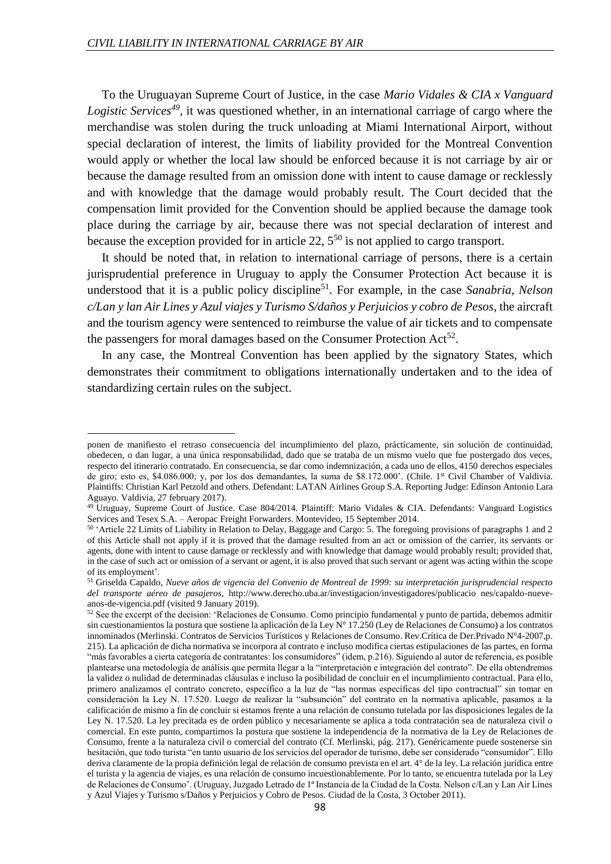**.** 

To the Uruguayan Supreme Court of Justice, in the case *Mario Vidales & CIA x Vanguard Logistic Services<sup>49</sup>*, it was questioned whether, in an international carriage of cargo where the merchandise was stolen during the truck unloading at Miami International Airport, without special declaration of interest, the limits of liability provided for the Montreal Convention would apply or whether the local law should be enforced because it is not carriage by air or because the damage resulted from an omission done with intent to cause damage or recklessly and with knowledge that the damage would probably result. The Court decided that the compensation limit provided for the Convention should be applied because the damage took place during the carriage by air, because there was not special declaration of interest and because the exception provided for in article 22,  $5^{50}$  is not applied to cargo transport.

It should be noted that, in relation to international carriage of persons, there is a certain jurisprudential preference in Uruguay to apply the Consumer Protection Act because it is understood that it is a public policy discipline<sup>51</sup>. For example, in the case Sanabria, Nelson *c/Lan y lan Air Lines y Azul viajes y Turismo S/daños y Perjuicios y cobro de Pesos*, the aircraft and the tourism agency were sentenced to reimburse the value of air tickets and to compensate the passengers for moral damages based on the Consumer Protection  $Act^{52}$ .

In any case, the Montreal Convention has been applied by the signatory States, which demonstrates their commitment to obligations internationally undertaken and to the idea of standardizing certain rules on the subject.

ponen de manifiesto el retraso consecuencia del incumplimiento del plazo, prácticamente, sin solución de continuidad, obedecen, o dan lugar, a una única responsabilidad, dado que se trataba de un mismo vuelo que fue postergado dos veces, respecto del itinerario contratado. En consecuencia, se dar como indemnización, a cada uno de ellos, 4150 derechos especiales de giro; esto es, \$4.086.000; y, por los dos demandantes, la suma de \$8.172.000'. (Chile. 1st Civil Chamber of Valdivia. Plaintiffs: Christian Karl Petzold and others. Defendant: LATAN Airlines Group S.A. Reporting Judge: Edinson Antonio Lara Aguayo. Valdivia, 27 february 2017).

<sup>49</sup> Uruguay, Supreme Court of Justice. Case 804/2014. Plaintiff: Mario Vidales & CIA. Defendants: Vanguard Logistics Services and Tesex S.A. – Aeropac Freight Forwarders. Montevideo, 15 September 2014.

<sup>50</sup> 'Article 22 Limits of Liability in Relation to Delay, Baggage and Cargo: 5. The foregoing provisions of paragraphs 1 and 2 of this Article shall not apply if it is proved that the damage resulted from an act or omission of the carrier, its servants or agents, done with intent to cause damage or recklessly and with knowledge that damage would probably result; provided that, in the case of such act or omission of a servant or agent, it is also proved that such servant or agent was acting within the scope of its employment'.

<sup>51</sup> Griselda Capaldo, *Nueve años de vigencia del Convenio de Montreal de 1999: su interpretación jurisprudencial respecto del transporte aéreo de pasajeros*, http://www.derecho.uba.ar/investigacion/investigadores/publicacio nes/capaldo-nueveanos-de-vigencia.pdf (visited 9 January 2019).

<sup>&</sup>lt;sup>52</sup> See the excerpt of the decision: 'Relaciones de Consumo. Como principio fundamental y punto de partida, debemos admitir sin cuestionamientos la postura que sostiene la aplicación de la Ley N° 17.250 (Ley de Relaciones de Consumo) a los contratos innominados (Merlinski. Contratos de Servicios Turísticos y Relaciones de Consumo. Rev.Crítica de Der.Privado N°4-2007,p. 215). La aplicación de dicha normativa se incorpora al contrato e incluso modifica ciertas estipulaciones de las partes, en forma "más favorables a cierta categoría de contratantes: los consumidores" (idem, p.216). Siguiendo al autor de referencia, es posible plantearse una metodología de análisis que permita llegar a la "interpretación e integración del contrato". De ella obtendremos la validez o nulidad de determinadas cláusulas e incluso la posibilidad de concluir en el incumplimiento contractual. Para ello, primero analizamos el contrato concreto, específico a la luz de "las normas específicas del tipo contractual" sin tomar en consideración la Ley N. 17.520. Luego de realizar la "subsunción" del contrato en la normativa aplicable, pasamos a la calificación de mismo a fin de concluir si estamos frente a una relación de consumo tutelada por las disposiciones legales de la Ley N. 17.520. La ley precitada es de orden público y necesariamente se aplica a toda contratación sea de naturaleza civil o comercial. En este punto, compartimos la postura que sostiene la independencia de la normativa de la Ley de Relaciones de Consumo, frente a la naturaleza civil o comercial del contrato (Cf. Merlinski, pág. 217). Genéricamente puede sostenerse sin hesitación, que todo turista "en tanto usuario de los servicios del operador de turismo, debe ser considerado "consumidor". Ello deriva claramente de la propia definición legal de relación de consumo prevista en el art. 4° de la ley. La relación jurídica entre el turista y la agencia de viajes, es una relación de consumo incuestionablemente. Por lo tanto, se encuentra tutelada por la Ley de Relaciones de Consumo'. (Uruguay, Juzgado Letrado de 1ª Instancia de la Ciudad de la Costa. Nelson c/Lan y Lan Air Lines y Azul Viajes y Turismo s/Daños y Perjuicios y Cobro de Pesos. Ciudad de la Costa, 3 October 2011).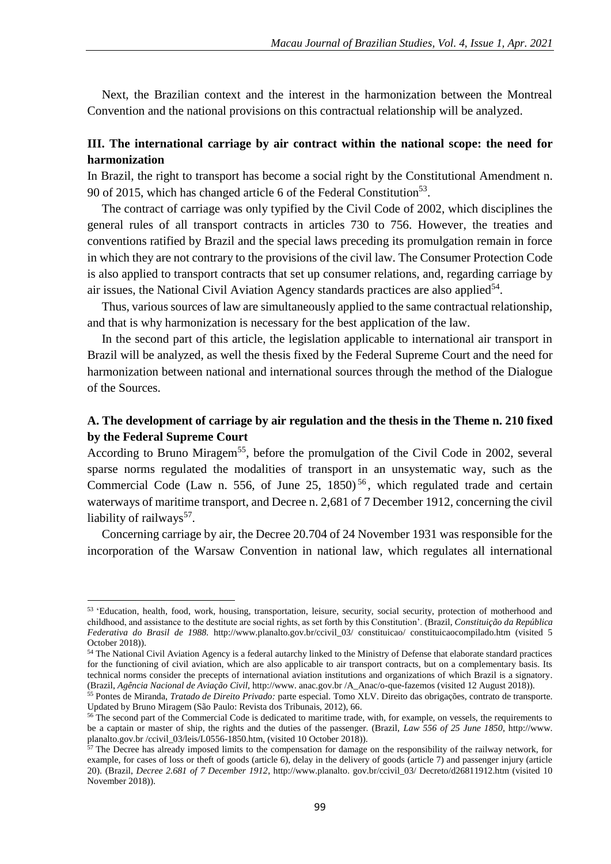Next, the Brazilian context and the interest in the harmonization between the Montreal Convention and the national provisions on this contractual relationship will be analyzed.

### **III. The international carriage by air contract within the national scope: the need for harmonization**

In Brazil, the right to transport has become a social right by the Constitutional Amendment n. 90 of 2015, which has changed article 6 of the Federal Constitution<sup>53</sup>.

The contract of carriage was only typified by the Civil Code of 2002, which disciplines the general rules of all transport contracts in articles 730 to 756. However, the treaties and conventions ratified by Brazil and the special laws preceding its promulgation remain in force in which they are not contrary to the provisions of the civil law. The Consumer Protection Code is also applied to transport contracts that set up consumer relations, and, regarding carriage by air issues, the National Civil Aviation Agency standards practices are also applied<sup>54</sup>.

Thus, various sources of law are simultaneously applied to the same contractual relationship, and that is why harmonization is necessary for the best application of the law.

In the second part of this article, the legislation applicable to international air transport in Brazil will be analyzed, as well the thesis fixed by the Federal Supreme Court and the need for harmonization between national and international sources through the method of the Dialogue of the Sources.

### **A. The development of carriage by air regulation and the thesis in the Theme n. 210 fixed by the Federal Supreme Court**

According to Bruno Miragem<sup>55</sup>, before the promulgation of the Civil Code in 2002, several sparse norms regulated the modalities of transport in an unsystematic way, such as the Commercial Code (Law n. 556, of June 25,  $1850$ )<sup>56</sup>, which regulated trade and certain waterways of maritime transport, and Decree n. 2,681 of 7 December 1912, concerning the civil liability of railways<sup>57</sup>.

Concerning carriage by air, the Decree 20.704 of 24 November 1931 was responsible for the incorporation of the Warsaw Convention in national law, which regulates all international

<sup>53 &#</sup>x27;Education, health, food, work, housing, transportation, leisure, security, social security, protection of motherhood and childhood, and assistance to the destitute are social rights, as set forth by this Constitution'. (Brazil, *Constituição da República Federativa do Brasil de 1988.* http://www.planalto.gov.br/ccivil\_03/ constituicao/ constituicaocompilado.htm (visited 5 October 2018)).

<sup>54</sup> The National Civil Aviation Agency is a federal autarchy linked to the Ministry of Defense that elaborate standard practices for the functioning of civil aviation, which are also applicable to air transport contracts, but on a complementary basis. Its technical norms consider the precepts of international aviation institutions and organizations of which Brazil is a signatory. (Brazil, *Agência Nacional de Aviação Civil,* http://www. anac.gov.br /A\_Anac/o-que-fazemos (visited 12 August 2018)).

<sup>55</sup> Pontes de Miranda, *Tratado de Direito Privado:* parte especial. Tomo XLV. Direito das obrigações, contrato de transporte. Updated by Bruno Miragem (São Paulo: Revista dos Tribunais, 2012), 66.

<sup>&</sup>lt;sup>56</sup> The second part of the Commercial Code is dedicated to maritime trade, with, for example, on vessels, the requirements to be a captain or master of ship, the rights and the duties of the passenger. (Brazil, *Law 556 of 25 June 1850*, http://www. planalto.gov.br /ccivil\_03/leis/L0556-1850.htm, (visited 10 October 2018)).

 $57$  The Decree has already imposed limits to the compensation for damage on the responsibility of the railway network, for example, for cases of loss or theft of goods (article 6), delay in the delivery of goods (article 7) and passenger injury (article 20). (Brazil, *Decree 2.681 of 7 December 1912*, http://www.planalto. gov.br/ccivil\_03/ Decreto/d26811912.htm (visited 10 November 2018)).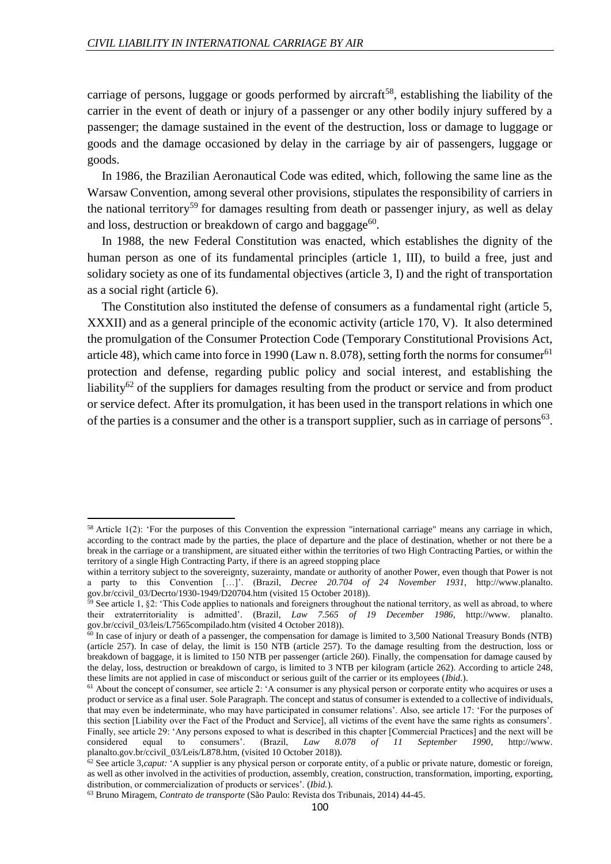carriage of persons, luggage or goods performed by aircraft<sup>58</sup>, establishing the liability of the carrier in the event of death or injury of a passenger or any other bodily injury suffered by a passenger; the damage sustained in the event of the destruction, loss or damage to luggage or goods and the damage occasioned by delay in the carriage by air of passengers, luggage or goods.

In 1986, the Brazilian Aeronautical Code was edited, which, following the same line as the Warsaw Convention, among several other provisions, stipulates the responsibility of carriers in the national territory<sup>59</sup> for damages resulting from death or passenger injury, as well as delay and loss, destruction or breakdown of cargo and baggage<sup>60</sup>.

In 1988, the new Federal Constitution was enacted, which establishes the dignity of the human person as one of its fundamental principles (article 1, III), to build a free, just and solidary society as one of its fundamental objectives (article 3, I) and the right of transportation as a social right (article 6).

The Constitution also instituted the defense of consumers as a fundamental right (article 5, XXXII) and as a general principle of the economic activity (article 170, V). It also determined the promulgation of the Consumer Protection Code (Temporary Constitutional Provisions Act, article 48), which came into force in 1990 (Law n. 8.078), setting forth the norms for consumer<sup>61</sup> protection and defense, regarding public policy and social interest, and establishing the liability<sup>62</sup> of the suppliers for damages resulting from the product or service and from product or service defect. After its promulgation, it has been used in the transport relations in which one of the parties is a consumer and the other is a transport supplier, such as in carriage of persons<sup>63</sup>.

 $\overline{a}$ 

<sup>58</sup> Article 1(2): 'For the purposes of this Convention the expression "international carriage" means any carriage in which, according to the contract made by the parties, the place of departure and the place of destination, whether or not there be a break in the carriage or a transhipment, are situated either within the territories of two High Contracting Parties, or within the territory of a single High Contracting Party, if there is an agreed stopping place

within a territory subject to the sovereignty, suzerainty, mandate or authority of another Power, even though that Power is not a party to this Convention […]'. (Brazil, *Decree 20.704 of 24 November 1931,* http://www.planalto. gov.br/ccivil\_03/Decrto/1930-1949/D20704.htm (visited 15 October 2018)).

<sup>&</sup>lt;sup>59</sup> See article 1, §2: 'This Code applies to nationals and foreigners throughout the national territory, as well as abroad, to where their extraterritoriality is admitted'. (Brazil, *Law 7.565 of 19 December 1986,* http://www. planalto. gov.br/ccivil\_03/leis/L7565compilado.htm (visited 4 October 2018)).

 $\frac{60}{60}$  In case of injury or death of a passenger, the compensation for damage is limited to 3,500 National Treasury Bonds (NTB) (article 257). In case of delay, the limit is 150 NTB (article 257). To the damage resulting from the destruction, loss or breakdown of baggage, it is limited to 150 NTB per passenger (article 260). Finally, the compensation for damage caused by the delay, loss, destruction or breakdown of cargo, is limited to 3 NTB per kilogram (article 262). According to article 248, these limits are not applied in case of misconduct or serious guilt of the carrier or its employees (*Ibid.*).

 $61$  About the concept of consumer, see article 2: 'A consumer is any physical person or corporate entity who acquires or uses a product or service as a final user. Sole Paragraph. The concept and status of consumer is extended to a collective of individuals, that may even be indeterminate, who may have participated in consumer relations'. Also, see article 17: 'For the purposes of this section [Liability over the Fact of the Product and Service], all victims of the event have the same rights as consumers'. Finally, see article 29: 'Any persons exposed to what is described in this chapter [Commercial Practices] and the next will be considered equal to consumers'. (Brazil, *Law 8.078 of 11 September 1990*, http://www. planalto.gov.br/ccivil\_03/Leis/L878.htm, (visited 10 October 2018)).

<sup>62</sup> See article 3,*caput:* 'A supplier is any physical person or corporate entity, of a public or private nature, domestic or foreign, as well as other involved in the activities of production, assembly, creation, construction, transformation, importing, exporting, distribution, or commercialization of products or services'. (*Ibid.*).

<sup>63</sup> Bruno Miragem, *Contrato de transporte* (São Paulo: Revista dos Tribunais, 2014) 44-45.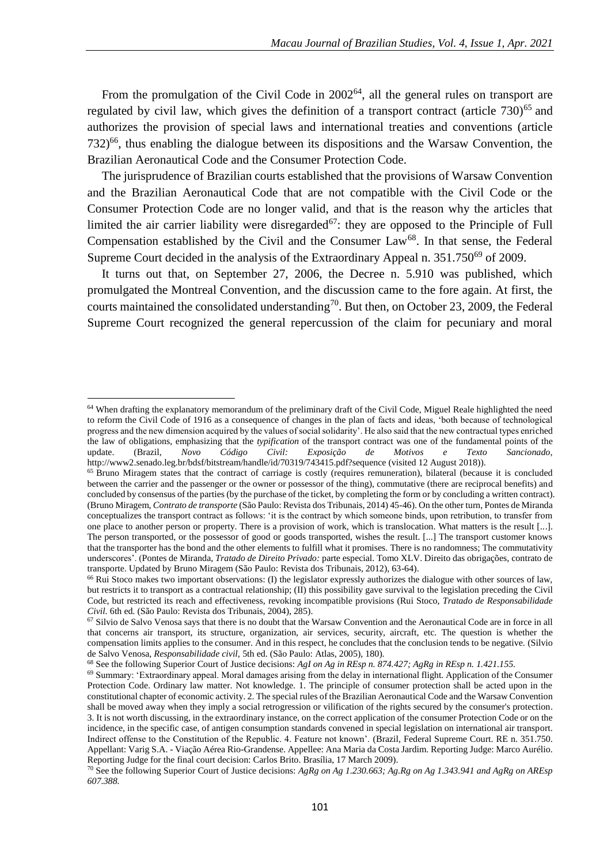From the promulgation of the Civil Code in  $2002^{64}$ , all the general rules on transport are regulated by civil law, which gives the definition of a transport contract (article  $730)^{65}$  and authorizes the provision of special laws and international treaties and conventions (article  $732$ <sup>66</sup>, thus enabling the dialogue between its dispositions and the Warsaw Convention, the Brazilian Aeronautical Code and the Consumer Protection Code.

The jurisprudence of Brazilian courts established that the provisions of Warsaw Convention and the Brazilian Aeronautical Code that are not compatible with the Civil Code or the Consumer Protection Code are no longer valid, and that is the reason why the articles that limited the air carrier liability were disregarded<sup>67</sup>: they are opposed to the Principle of Full Compensation established by the Civil and the Consumer Law<sup>68</sup>. In that sense, the Federal Supreme Court decided in the analysis of the Extraordinary Appeal n. 351.750<sup>69</sup> of 2009.

It turns out that, on September 27, 2006, the Decree n. 5.910 was published, which promulgated the Montreal Convention, and the discussion came to the fore again. At first, the courts maintained the consolidated understanding<sup>70</sup>. But then, on October 23, 2009, the Federal Supreme Court recognized the general repercussion of the claim for pecuniary and moral

 $64$  When drafting the explanatory memorandum of the preliminary draft of the Civil Code. Miguel Reale highlighted the need to reform the Civil Code of 1916 as a consequence of changes in the plan of facts and ideas, 'both because of technological progress and the new dimension acquired by the values of social solidarity'. He also said that the new contractual types enriched the law of obligations, emphasizing that the *typification* of the transport contract was one of the fundamental points of the update. (Brazil, *Novo Código Civil: Exposição de Motivos e Texto Sancionado,*  http://www2.senado.leg.br/bdsf/bitstream/handle/id/70319/743415.pdf?sequence (visited 12 August 2018)).

<sup>65</sup> Bruno Miragem states that the contract of carriage is costly (requires remuneration), bilateral (because it is concluded between the carrier and the passenger or the owner or possessor of the thing), commutative (there are reciprocal benefits) and concluded by consensus of the parties (by the purchase of the ticket, by completing the form or by concluding a written contract). (Bruno Miragem, *Contrato de transporte* (São Paulo: Revista dos Tribunais, 2014) 45-46). On the other turn, Pontes de Miranda conceptualizes the transport contract as follows: 'it is the contract by which someone binds, upon retribution, to transfer from one place to another person or property. There is a provision of work, which is translocation. What matters is the result [...]. The person transported, or the possessor of good or goods transported, wishes the result. [...] The transport customer knows that the transporter has the bond and the other elements to fulfill what it promises. There is no randomness; The commutativity underscores'. (Pontes de Miranda, *Tratado de Direito Privado:* parte especial. Tomo XLV. Direito das obrigações, contrato de transporte. Updated by Bruno Miragem (São Paulo: Revista dos Tribunais, 2012), 63-64).

<sup>66</sup> Rui Stoco makes two important observations: (I) the legislator expressly authorizes the dialogue with other sources of law, but restricts it to transport as a contractual relationship; (II) this possibility gave survival to the legislation preceding the Civil Code, but restricted its reach and effectiveness, revoking incompatible provisions (Rui Stoco, *Tratado de Responsabilidade Civil.* 6th ed. (São Paulo: Revista dos Tribunais, 2004), 285).

 $67$  Silvio de Salvo Venosa says that there is no doubt that the Warsaw Convention and the Aeronautical Code are in force in all that concerns air transport, its structure, organization, air services, security, aircraft, etc. The question is whether the compensation limits applies to the consumer. And in this respect, he concludes that the conclusion tends to be negative. (Silvio de Salvo Venosa, *Responsabilidade civil,* 5th ed. (São Paulo: Atlas, 2005), 180).

<sup>68</sup> See the following Superior Court of Justice decisions: *AgI on Ag in REsp n. 874.427; AgRg in REsp n. 1.421.155.*

<sup>69</sup> Summary: 'Extraordinary appeal. Moral damages arising from the delay in international flight. Application of the Consumer Protection Code. Ordinary law matter. Not knowledge. 1. The principle of consumer protection shall be acted upon in the constitutional chapter of economic activity. 2. The special rules of the Brazilian Aeronautical Code and the Warsaw Convention shall be moved away when they imply a social retrogression or vilification of the rights secured by the consumer's protection. 3. It is not worth discussing, in the extraordinary instance, on the correct application of the consumer Protection Code or on the incidence, in the specific case, of antigen consumption standards convened in special legislation on international air transport. Indirect offense to the Constitution of the Republic. 4. Feature not known'. (Brazil, Federal Supreme Court. RE n. 351.750. Appellant: Varig S.A. - Viação Aérea Rio-Grandense. Appellee: Ana Maria da Costa Jardim. Reporting Judge: Marco Aurélio. Reporting Judge for the final court decision: Carlos Brito. Brasília, 17 March 2009).

<sup>70</sup> See the following Superior Court of Justice decisions: *AgRg on Ag 1.230.663; Ag.Rg on Ag 1.343.941 and AgRg on AREsp 607.388.*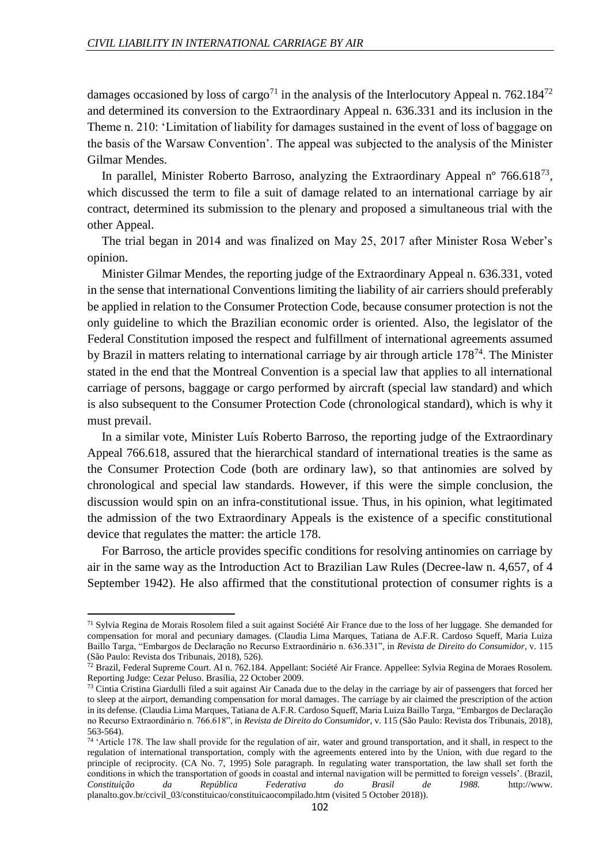damages occasioned by loss of cargo<sup>71</sup> in the analysis of the Interlocutory Appeal n. 762.184<sup>72</sup> and determined its conversion to the Extraordinary Appeal n. 636.331 and its inclusion in the Theme n. 210: 'Limitation of liability for damages sustained in the event of loss of baggage on the basis of the Warsaw Convention'. The appeal was subjected to the analysis of the Minister Gilmar Mendes.

In parallel, Minister Roberto Barroso, analyzing the Extraordinary Appeal  $n^{\circ}$  766.618<sup>73</sup>, which discussed the term to file a suit of damage related to an international carriage by air contract, determined its submission to the plenary and proposed a simultaneous trial with the other Appeal.

The trial began in 2014 and was finalized on May 25, 2017 after Minister Rosa Weber's opinion.

Minister Gilmar Mendes, the reporting judge of the Extraordinary Appeal n. 636.331, voted in the sense that international Conventions limiting the liability of air carriers should preferably be applied in relation to the Consumer Protection Code, because consumer protection is not the only guideline to which the Brazilian economic order is oriented. Also, the legislator of the Federal Constitution imposed the respect and fulfillment of international agreements assumed by Brazil in matters relating to international carriage by air through article 178<sup>74</sup>. The Minister stated in the end that the Montreal Convention is a special law that applies to all international carriage of persons, baggage or cargo performed by aircraft (special law standard) and which is also subsequent to the Consumer Protection Code (chronological standard), which is why it must prevail.

In a similar vote, Minister Luís Roberto Barroso, the reporting judge of the Extraordinary Appeal 766.618, assured that the hierarchical standard of international treaties is the same as the Consumer Protection Code (both are ordinary law), so that antinomies are solved by chronological and special law standards. However, if this were the simple conclusion, the discussion would spin on an infra-constitutional issue. Thus, in his opinion, what legitimated the admission of the two Extraordinary Appeals is the existence of a specific constitutional device that regulates the matter: the article 178.

For Barroso, the article provides specific conditions for resolving antinomies on carriage by air in the same way as the Introduction Act to Brazilian Law Rules (Decree-law n. 4,657, of 4 September 1942). He also affirmed that the constitutional protection of consumer rights is a

 $71$  Sylvia Regina de Morais Rosolem filed a suit against Société Air France due to the loss of her luggage. She demanded for compensation for moral and pecuniary damages. (Claudia Lima Marques, Tatiana de A.F.R. Cardoso Squeff, Maria Luiza Baillo Targa, "Embargos de Declaração no Recurso Extraordinário n. 636.331", in *Revista de Direito do Consumidor*, v. 115 (São Paulo: Revista dos Tribunais, 2018), 526).

 $72$  Brazil, Federal Supreme Court. AI n. 762.184. Appellant: Société Air France. Appellee: Sylvia Regina de Moraes Rosolem. Reporting Judge: Cezar Peluso. Brasília, 22 October 2009.

 $73$  Cintia Cristina Giardulli filed a suit against Air Canada due to the delay in the carriage by air of passengers that forced her to sleep at the airport, demanding compensation for moral damages. The carriage by air claimed the prescription of the action in its defense. (Claudia Lima Marques, Tatiana de A.F.R. Cardoso Squeff, Maria Luiza Baillo Targa, "Embargos de Declaração no Recurso Extraordinário n. 766.618", in *Revista de Direito do Consumidor*, v. 115 (São Paulo: Revista dos Tribunais, 2018), 563-564).

<sup>&</sup>lt;sup>74</sup> 'Article 178. The law shall provide for the regulation of air, water and ground transportation, and it shall, in respect to the regulation of international transportation, comply with the agreements entered into by the Union, with due regard to the principle of reciprocity. (CA No. 7, 1995) Sole paragraph. In regulating water transportation, the law shall set forth the conditions in which the transportation of goods in coastal and internal navigation will be permitted to foreign vessels'. (Brazil, *Constituição da República Federativa do Brasil de 1988.* http://www. planalto.gov.br/ccivil\_03/constituicao/constituicaocompilado.htm (visited 5 October 2018)).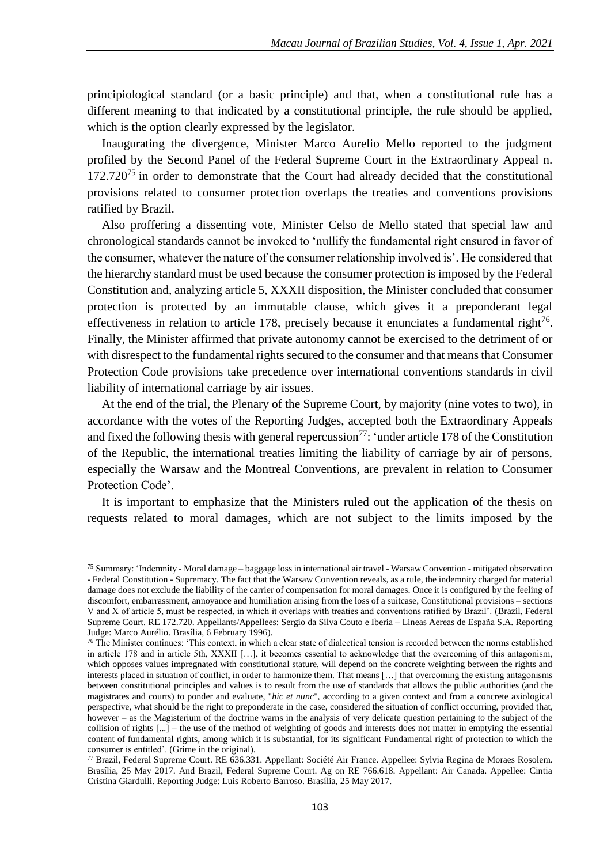principiological standard (or a basic principle) and that, when a constitutional rule has a different meaning to that indicated by a constitutional principle, the rule should be applied, which is the option clearly expressed by the legislator.

Inaugurating the divergence, Minister Marco Aurelio Mello reported to the judgment profiled by the Second Panel of the Federal Supreme Court in the Extraordinary Appeal n.  $172.720^{75}$  in order to demonstrate that the Court had already decided that the constitutional provisions related to consumer protection overlaps the treaties and conventions provisions ratified by Brazil.

Also proffering a dissenting vote, Minister Celso de Mello stated that special law and chronological standards cannot be invoked to 'nullify the fundamental right ensured in favor of the consumer, whatever the nature of the consumer relationship involved is'. He considered that the hierarchy standard must be used because the consumer protection is imposed by the Federal Constitution and, analyzing article 5, XXXII disposition, the Minister concluded that consumer protection is protected by an immutable clause, which gives it a preponderant legal effectiveness in relation to article 178, precisely because it enunciates a fundamental right $^{76}$ . Finally, the Minister affirmed that private autonomy cannot be exercised to the detriment of or with disrespect to the fundamental rights secured to the consumer and that means that Consumer Protection Code provisions take precedence over international conventions standards in civil liability of international carriage by air issues.

At the end of the trial, the Plenary of the Supreme Court, by majority (nine votes to two), in accordance with the votes of the Reporting Judges, accepted both the Extraordinary Appeals and fixed the following thesis with general repercussion<sup>77</sup>: 'under article 178 of the Constitution of the Republic, the international treaties limiting the liability of carriage by air of persons, especially the Warsaw and the Montreal Conventions, are prevalent in relation to Consumer Protection Code'.

It is important to emphasize that the Ministers ruled out the application of the thesis on requests related to moral damages, which are not subject to the limits imposed by the

<sup>75</sup> Summary: 'Indemnity - Moral damage – baggage loss in international air travel - Warsaw Convention - mitigated observation - Federal Constitution - Supremacy. The fact that the Warsaw Convention reveals, as a rule, the indemnity charged for material damage does not exclude the liability of the carrier of compensation for moral damages. Once it is configured by the feeling of discomfort, embarrassment, annoyance and humiliation arising from the loss of a suitcase, Constitutional provisions – sections V and X of article 5, must be respected, in which it overlaps with treaties and conventions ratified by Brazil'. (Brazil, Federal Supreme Court. RE 172.720. Appellants/Appellees: Sergio da Silva Couto e Iberia – Lineas Aereas de España S.A. Reporting Judge: Marco Aurélio. Brasília, 6 February 1996).

 $76$  The Minister continues: 'This context, in which a clear state of dialectical tension is recorded between the norms established in article 178 and in article 5th, XXXII […], it becomes essential to acknowledge that the overcoming of this antagonism, which opposes values impregnated with constitutional stature, will depend on the concrete weighting between the rights and interests placed in situation of conflict, in order to harmonize them. That means […] that overcoming the existing antagonisms between constitutional principles and values is to result from the use of standards that allows the public authorities (and the magistrates and courts) to ponder and evaluate, "*hic et nunc*", according to a given context and from a concrete axiological perspective, what should be the right to preponderate in the case, considered the situation of conflict occurring, provided that, however – as the Magisterium of the doctrine warns in the analysis of very delicate question pertaining to the subject of the collision of rights  $\lceil ... \rceil$  – the use of the method of weighting of goods and interests does not matter in emptying the essential content of fundamental rights, among which it is substantial, for its significant Fundamental right of protection to which the consumer is entitled'. (Grime in the original).

<sup>77</sup> Brazil, Federal Supreme Court. RE 636.331. Appellant: Société Air France. Appellee: Sylvia Regina de Moraes Rosolem. Brasília, 25 May 2017. And Brazil, Federal Supreme Court. Ag on RE 766.618. Appellant: Air Canada. Appellee: Cintia Cristina Giardulli. Reporting Judge: Luis Roberto Barroso. Brasília, 25 May 2017.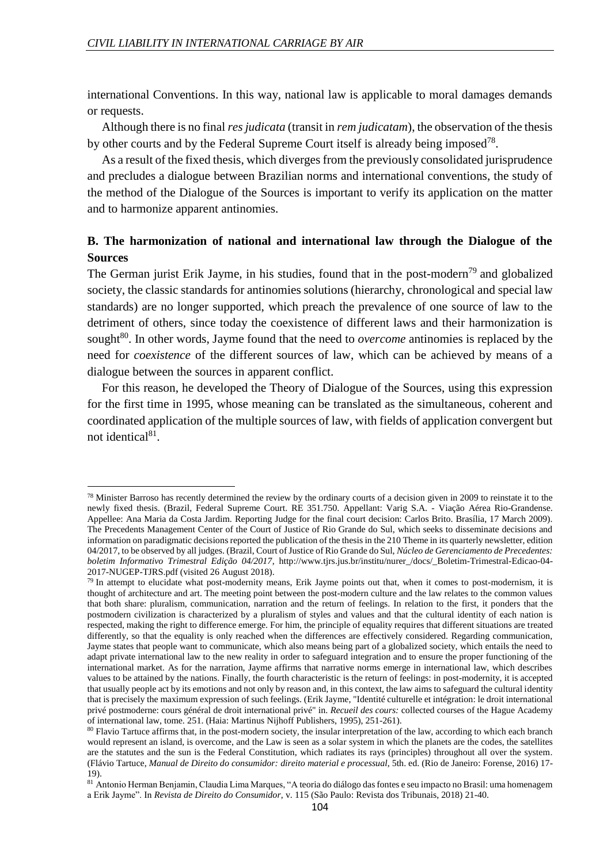**.** 

international Conventions. In this way, national law is applicable to moral damages demands or requests.

Although there is no final *res judicata* (transit in *rem judicatam*), the observation of the thesis by other courts and by the Federal Supreme Court itself is already being imposed<sup>78</sup>.

As a result of the fixed thesis, which diverges from the previously consolidated jurisprudence and precludes a dialogue between Brazilian norms and international conventions, the study of the method of the Dialogue of the Sources is important to verify its application on the matter and to harmonize apparent antinomies.

## **B. The harmonization of national and international law through the Dialogue of the Sources**

The German jurist Erik Jayme, in his studies, found that in the post-modern<sup>79</sup> and globalized society, the classic standards for antinomies solutions (hierarchy, chronological and special law standards) are no longer supported, which preach the prevalence of one source of law to the detriment of others, since today the coexistence of different laws and their harmonization is sought<sup>80</sup>. In other words, Jayme found that the need to *overcome* antinomies is replaced by the need for *coexistence* of the different sources of law, which can be achieved by means of a dialogue between the sources in apparent conflict.

For this reason, he developed the Theory of Dialogue of the Sources, using this expression for the first time in 1995, whose meaning can be translated as the simultaneous, coherent and coordinated application of the multiple sources of law, with fields of application convergent but not identical<sup>81</sup>.

 $78$  Minister Barroso has recently determined the review by the ordinary courts of a decision given in 2009 to reinstate it to the newly fixed thesis. (Brazil, Federal Supreme Court. RE 351.750. Appellant: Varig S.A. - Viação Aérea Rio-Grandense. Appellee: Ana Maria da Costa Jardim. Reporting Judge for the final court decision: Carlos Brito. Brasília, 17 March 2009). The Precedents Management Center of the Court of Justice of Rio Grande do Sul, which seeks to disseminate decisions and information on paradigmatic decisions reported the publication of the thesis in the 210 Theme in its quarterly newsletter, edition 04/2017, to be observed by all judges. (Brazil, Court of Justice of Rio Grande do Sul, *Núcleo de Gerenciamento de Precedentes: boletim Informativo Trimestral Edição 04/2017*, http://www.tjrs.jus.br/institu/nurer\_/docs/\_Boletim-Trimestral-Edicao-04- 2017-NUGEP-TJRS.pdf (visited 26 August 2018).

 $79$  In attempt to elucidate what post-modernity means, Erik Jayme points out that, when it comes to post-modernism, it is thought of architecture and art. The meeting point between the post-modern culture and the law relates to the common values that both share: pluralism, communication, narration and the return of feelings. In relation to the first, it ponders that the postmodern civilization is characterized by a pluralism of styles and values and that the cultural identity of each nation is respected, making the right to difference emerge. For him, the principle of equality requires that different situations are treated differently, so that the equality is only reached when the differences are effectively considered. Regarding communication, Jayme states that people want to communicate, which also means being part of a globalized society, which entails the need to adapt private international law to the new reality in order to safeguard integration and to ensure the proper functioning of the international market. As for the narration, Jayme affirms that narrative norms emerge in international law, which describes values to be attained by the nations. Finally, the fourth characteristic is the return of feelings: in post-modernity, it is accepted that usually people act by its emotions and not only by reason and, in this context, the law aims to safeguard the cultural identity that is precisely the maximum expression of such feelings. (Erik Jayme, "Identité culturelle et intégration: le droit international privé postmoderne: cours général de droit international privé" in. *Recueil des cours:* collected courses of the Hague Academy of international law, tome. 251. (Haia: Martinus Nijhoff Publishers, 1995), 251-261).

<sup>&</sup>lt;sup>80</sup> Flavio Tartuce affirms that, in the post-modern society, the insular interpretation of the law, according to which each branch would represent an island, is overcome, and the Law is seen as a solar system in which the planets are the codes, the satellites are the statutes and the sun is the Federal Constitution, which radiates its rays (principles) throughout all over the system. (Flávio Tartuce, *Manual de Direito do consumidor: direito material e processual*, 5th. ed. (Rio de Janeiro: Forense, 2016) 17- 19).

<sup>81</sup> Antonio Herman Benjamin, Claudia Lima Marques, "A teoria do diálogo das fontes e seu impacto no Brasil: uma homenagem a Erik Jayme". In *Revista de Direito do Consumidor*, v. 115 (São Paulo: Revista dos Tribunais, 2018) 21-40.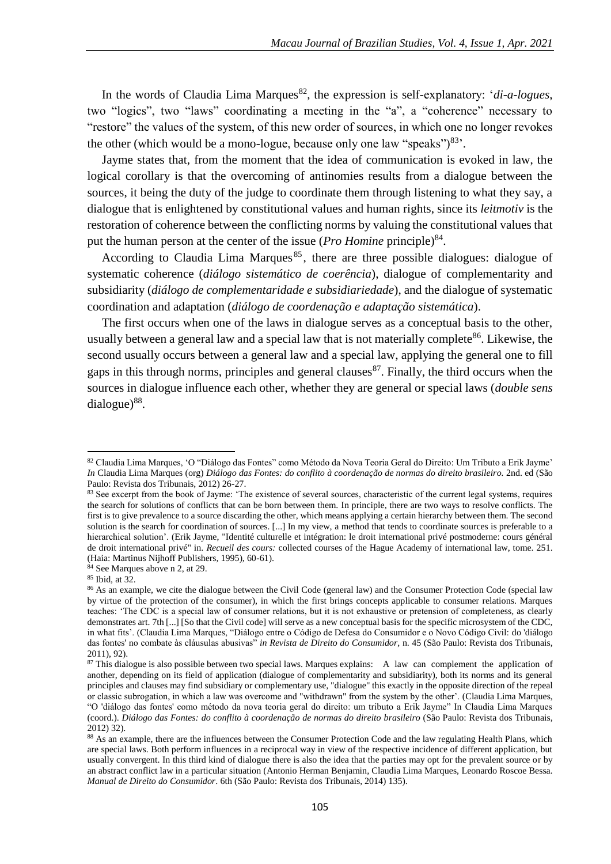In the words of Claudia Lima Marques<sup>82</sup>, the expression is self-explanatory: '*di-a-logues*, two "logics", two "laws" coordinating a meeting in the "a", a "coherence" necessary to "restore" the values of the system, of this new order of sources, in which one no longer revokes the other (which would be a mono-logue, because only one law "speaks") $^{83}$ .

Jayme states that, from the moment that the idea of communication is evoked in law, the logical corollary is that the overcoming of antinomies results from a dialogue between the sources, it being the duty of the judge to coordinate them through listening to what they say, a dialogue that is enlightened by constitutional values and human rights, since its *leitmotiv* is the restoration of coherence between the conflicting norms by valuing the constitutional values that put the human person at the center of the issue (*Pro Homine* principle)<sup>84</sup>.

According to Claudia Lima Marques<sup>85</sup>, there are three possible dialogues: dialogue of systematic coherence (*diálogo sistemático de coerência*), dialogue of complementarity and subsidiarity (*diálogo de complementaridade e subsidiariedade*), and the dialogue of systematic coordination and adaptation (*diálogo de coordenação e adaptação sistemática*).

The first occurs when one of the laws in dialogue serves as a conceptual basis to the other, usually between a general law and a special law that is not materially complete<sup>86</sup>. Likewise, the second usually occurs between a general law and a special law, applying the general one to fill gaps in this through norms, principles and general clauses  $87$ . Finally, the third occurs when the sources in dialogue influence each other, whether they are general or special laws (*double sens*  $dialogue)^{88}$ .

<sup>82</sup> Claudia Lima Marques, 'O "Diálogo das Fontes" como Método da Nova Teoria Geral do Direito: Um Tributo a Erik Jayme' *In* Claudia Lima Marques (org) *Diálogo das Fontes: do conflito à coordenação de normas do direito brasileiro.* 2nd. ed (São Paulo: Revista dos Tribunais, 2012) 26-27.

<sup>&</sup>lt;sup>83</sup> See excerpt from the book of Jayme: 'The existence of several sources, characteristic of the current legal systems, requires the search for solutions of conflicts that can be born between them. In principle, there are two ways to resolve conflicts. The first is to give prevalence to a source discarding the other, which means applying a certain hierarchy between them. The second solution is the search for coordination of sources. [...] In my view, a method that tends to coordinate sources is preferable to a hierarchical solution'. (Erik Jayme, "Identité culturelle et intégration: le droit international privé postmoderne: cours général de droit international privé" in. *Recueil des cours:* collected courses of the Hague Academy of international law, tome. 251. (Haia: Martinus Nijhoff Publishers, 1995), 60-61).

 $84$  See Marques above n 2, at 29.

<sup>85</sup> Ibid*,* at 32.

<sup>&</sup>lt;sup>86</sup> As an example, we cite the dialogue between the Civil Code (general law) and the Consumer Protection Code (special law by virtue of the protection of the consumer), in which the first brings concepts applicable to consumer relations. Marques teaches: 'The CDC is a special law of consumer relations, but it is not exhaustive or pretension of completeness, as clearly demonstrates art. 7th [...] [So that the Civil code] will serve as a new conceptual basis for the specific microsystem of the CDC, in what fits'. (Claudia Lima Marques, "Diálogo entre o Código de Defesa do Consumidor e o Novo Código Civil: do 'diálogo das fontes' no combate às cláusulas abusivas" *in Revista de Direito do Consumidor,* n. 45 (São Paulo: Revista dos Tribunais, 2011), 92).

<sup>&</sup>lt;sup>87</sup> This dialogue is also possible between two special laws. Marques explains: A law can complement the application of another, depending on its field of application (dialogue of complementarity and subsidiarity), both its norms and its general principles and clauses may find subsidiary or complementary use, "dialogue" this exactly in the opposite direction of the repeal or classic subrogation, in which a law was overcome and "withdrawn" from the system by the other'. (Claudia Lima Marques, "O 'diálogo das fontes' como método da nova teoria geral do direito: um tributo a Erik Jayme" In Claudia Lima Marques (coord.). *Diálogo das Fontes: do conflito à coordenação de normas do direito brasileiro* (São Paulo: Revista dos Tribunais, 2012) 32).

<sup>88</sup> As an example, there are the influences between the Consumer Protection Code and the law regulating Health Plans, which are special laws. Both perform influences in a reciprocal way in view of the respective incidence of different application, but usually convergent. In this third kind of dialogue there is also the idea that the parties may opt for the prevalent source or by an abstract conflict law in a particular situation (Antonio Herman Benjamin, Claudia Lima Marques, Leonardo Roscoe Bessa. *Manual de Direito do Consumidor*. 6th (São Paulo: Revista dos Tribunais, 2014) 135).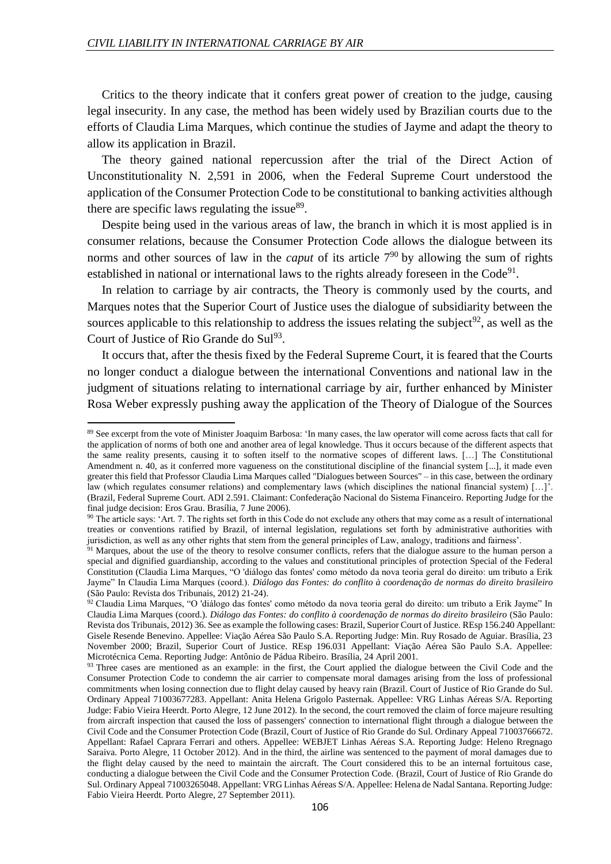**.** 

Critics to the theory indicate that it confers great power of creation to the judge, causing legal insecurity. In any case, the method has been widely used by Brazilian courts due to the efforts of Claudia Lima Marques, which continue the studies of Jayme and adapt the theory to allow its application in Brazil.

The theory gained national repercussion after the trial of the Direct Action of Unconstitutionality N. 2,591 in 2006, when the Federal Supreme Court understood the application of the Consumer Protection Code to be constitutional to banking activities although there are specific laws regulating the issue $89$ .

Despite being used in the various areas of law, the branch in which it is most applied is in consumer relations, because the Consumer Protection Code allows the dialogue between its norms and other sources of law in the *caput* of its article 7<sup>90</sup> by allowing the sum of rights established in national or international laws to the rights already foreseen in the  $Code<sup>91</sup>$ .

In relation to carriage by air contracts, the Theory is commonly used by the courts, and Marques notes that the Superior Court of Justice uses the dialogue of subsidiarity between the sources applicable to this relationship to address the issues relating the subject<sup>92</sup>, as well as the Court of Justice of Rio Grande do Sul<sup>93</sup>.

It occurs that, after the thesis fixed by the Federal Supreme Court, it is feared that the Courts no longer conduct a dialogue between the international Conventions and national law in the judgment of situations relating to international carriage by air, further enhanced by Minister Rosa Weber expressly pushing away the application of the Theory of Dialogue of the Sources

<sup>89</sup> See excerpt from the vote of Minister Joaquim Barbosa: 'In many cases, the law operator will come across facts that call for the application of norms of both one and another area of legal knowledge. Thus it occurs because of the different aspects that the same reality presents, causing it to soften itself to the normative scopes of different laws. […] The Constitutional Amendment n. 40, as it conferred more vagueness on the constitutional discipline of the financial system [...], it made even greater this field that Professor Claudia Lima Marques called "Dialogues between Sources" – in this case, between the ordinary law (which regulates consumer relations) and complementary laws (which disciplines the national financial system) […]'. (Brazil, Federal Supreme Court. ADI 2.591. Claimant: Confederação Nacional do Sistema Financeiro. Reporting Judge for the final judge decision: Eros Grau. Brasília, 7 June 2006).

 $90$  The article says: 'Art. 7. The rights set forth in this Code do not exclude any others that may come as a result of international treaties or conventions ratified by Brazil, of internal legislation, regulations set forth by administrative authorities with jurisdiction, as well as any other rights that stem from the general principles of Law, analogy, traditions and fairness'.

<sup>&</sup>lt;sup>91</sup> Marques, about the use of the theory to resolve consumer conflicts, refers that the dialogue assure to the human person a special and dignified guardianship, according to the values and constitutional principles of protection Special of the Federal Constitution (Claudia Lima Marques, "O 'diálogo das fontes' como método da nova teoria geral do direito: um tributo a Erik Jayme" In Claudia Lima Marques (coord.). *Diálogo das Fontes: do conflito à coordenação de normas do direito brasileiro*  (São Paulo: Revista dos Tribunais, 2012) 21-24).

<sup>92</sup> Claudia Lima Marques, "O 'diálogo das fontes' como método da nova teoria geral do direito: um tributo a Erik Jayme" In Claudia Lima Marques (coord.). *Diálogo das Fontes: do conflito à coordenação de normas do direito brasileiro* (São Paulo: Revista dos Tribunais, 2012) 36. See as example the following cases: Brazil, Superior Court of Justice. REsp 156.240 Appellant: Gisele Resende Benevino. Appellee: Viação Aérea São Paulo S.A. Reporting Judge: Min. Ruy Rosado de Aguiar. Brasília, 23 November 2000; Brazil, Superior Court of Justice. REsp 196.031 Appellant: Viação Aérea São Paulo S.A. Appellee: Microtécnica Cema. Reporting Judge: Antônio de Pádua Ribeiro. Brasília, 24 April 2001.

<sup>93</sup> Three cases are mentioned as an example: in the first, the Court applied the dialogue between the Civil Code and the Consumer Protection Code to condemn the air carrier to compensate moral damages arising from the loss of professional commitments when losing connection due to flight delay caused by heavy rain (Brazil. Court of Justice of Rio Grande do Sul. Ordinary Appeal 71003677283. Appellant: Anita Helena Grigolo Pasternak. Appellee: VRG Linhas Aéreas S/A. Reporting Judge: Fabio Vieira Heerdt. Porto Alegre, 12 June 2012). In the second, the court removed the claim of force majeure resulting from aircraft inspection that caused the loss of passengers' connection to international flight through a dialogue between the Civil Code and the Consumer Protection Code (Brazil, Court of Justice of Rio Grande do Sul. Ordinary Appeal 71003766672. Appellant: Rafael Caprara Ferrari and others. Appellee: WEBJET Linhas Aéreas S.A. Reporting Judge: Heleno Rregnago Saraiva. Porto Alegre, 11 October 2012). And in the third, the airline was sentenced to the payment of moral damages due to the flight delay caused by the need to maintain the aircraft. The Court considered this to be an internal fortuitous case, conducting a dialogue between the Civil Code and the Consumer Protection Code. (Brazil, Court of Justice of Rio Grande do Sul. Ordinary Appeal 71003265048. Appellant: VRG Linhas Aéreas S/A. Appellee: Helena de Nadal Santana. Reporting Judge: Fabio Vieira Heerdt. Porto Alegre, 27 September 2011).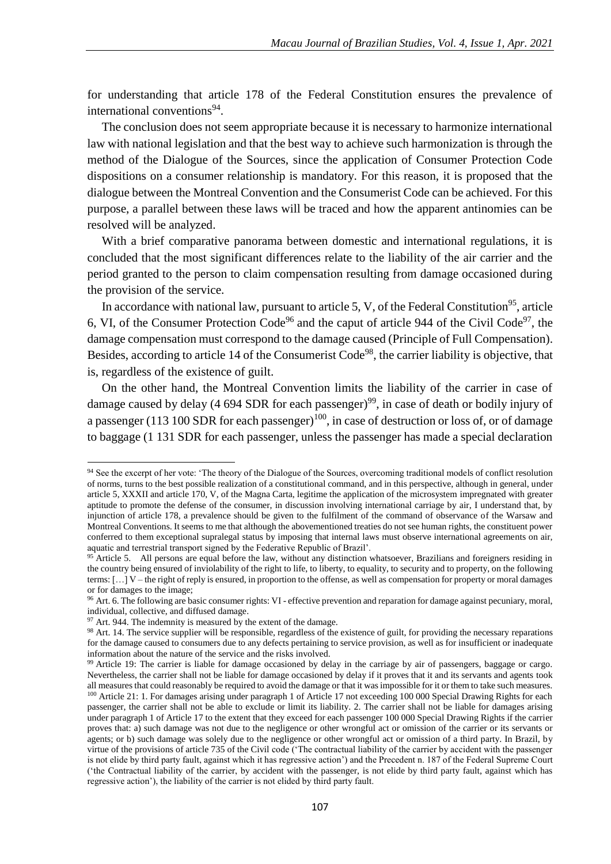for understanding that article 178 of the Federal Constitution ensures the prevalence of international conventions<sup>94</sup>.

The conclusion does not seem appropriate because it is necessary to harmonize international law with national legislation and that the best way to achieve such harmonization is through the method of the Dialogue of the Sources, since the application of Consumer Protection Code dispositions on a consumer relationship is mandatory. For this reason, it is proposed that the dialogue between the Montreal Convention and the Consumerist Code can be achieved. For this purpose, a parallel between these laws will be traced and how the apparent antinomies can be resolved will be analyzed.

With a brief comparative panorama between domestic and international regulations, it is concluded that the most significant differences relate to the liability of the air carrier and the period granted to the person to claim compensation resulting from damage occasioned during the provision of the service.

In accordance with national law, pursuant to article 5, V, of the Federal Constitution<sup>95</sup>, article 6, VI, of the Consumer Protection Code<sup>96</sup> and the caput of article 944 of the Civil Code<sup>97</sup>, the damage compensation must correspond to the damage caused (Principle of Full Compensation). Besides, according to article 14 of the Consumerist Code<sup>98</sup>, the carrier liability is objective, that is, regardless of the existence of guilt.

On the other hand, the Montreal Convention limits the liability of the carrier in case of damage caused by delay (4 694 SDR for each passenger)<sup>99</sup>, in case of death or bodily injury of a passenger (113 100 SDR for each passenger)<sup>100</sup>, in case of destruction or loss of, or of damage to baggage (1 131 SDR for each passenger, unless the passenger has made a special declaration

<sup>&</sup>lt;sup>94</sup> See the excerpt of her vote: 'The theory of the Dialogue of the Sources, overcoming traditional models of conflict resolution of norms, turns to the best possible realization of a constitutional command, and in this perspective, although in general, under article 5, XXXII and article 170, V, of the Magna Carta, legitime the application of the microsystem impregnated with greater aptitude to promote the defense of the consumer, in discussion involving international carriage by air, I understand that, by injunction of article 178, a prevalence should be given to the fulfilment of the command of observance of the Warsaw and Montreal Conventions. It seems to me that although the abovementioned treaties do not see human rights, the constituent power conferred to them exceptional supralegal status by imposing that internal laws must observe international agreements on air, aquatic and terrestrial transport signed by the Federative Republic of Brazil'.

<sup>&</sup>lt;sup>95</sup> Article 5. All persons are equal before the law, without any distinction whatsoever, Brazilians and foreigners residing in the country being ensured of inviolability of the right to life, to liberty, to equality, to security and to property, on the following terms: […] V – the right of reply is ensured, in proportion to the offense, as well as compensation for property or moral damages or for damages to the image;

<sup>&</sup>lt;sup>96</sup> Art. 6. The following are basic consumer rights: VI - effective prevention and reparation for damage against pecuniary, moral, individual, collective, and diffused damage.

 $97$  Art. 944. The indemnity is measured by the extent of the damage.

<sup>&</sup>lt;sup>98</sup> Art. 14. The service supplier will be responsible, regardless of the existence of guilt, for providing the necessary reparations for the damage caused to consumers due to any defects pertaining to service provision, as well as for insufficient or inadequate information about the nature of the service and the risks involved.

<sup>&</sup>lt;sup>99</sup> Article 19: The carrier is liable for damage occasioned by delay in the carriage by air of passengers, baggage or cargo. Nevertheless, the carrier shall not be liable for damage occasioned by delay if it proves that it and its servants and agents took all measures that could reasonably be required to avoid the damage or that it was impossible for it or them to take such measures. <sup>100</sup> Article 21: 1. For damages arising under paragraph 1 of Article 17 not exceeding 100 000 Special Drawing Rights for each passenger, the carrier shall not be able to exclude or limit its liability. 2. The carrier shall not be liable for damages arising under paragraph 1 of Article 17 to the extent that they exceed for each passenger 100 000 Special Drawing Rights if the carrier proves that: a) such damage was not due to the negligence or other wrongful act or omission of the carrier or its servants or agents; or b) such damage was solely due to the negligence or other wrongful act or omission of a third party. In Brazil, by virtue of the provisions of article 735 of the Civil code ('The contractual liability of the carrier by accident with the passenger is not elide by third party fault, against which it has regressive action') and the Precedent n. 187 of the Federal Supreme Court ('the Contractual liability of the carrier, by accident with the passenger, is not elide by third party fault, against which has regressive action'), the liability of the carrier is not elided by third party fault.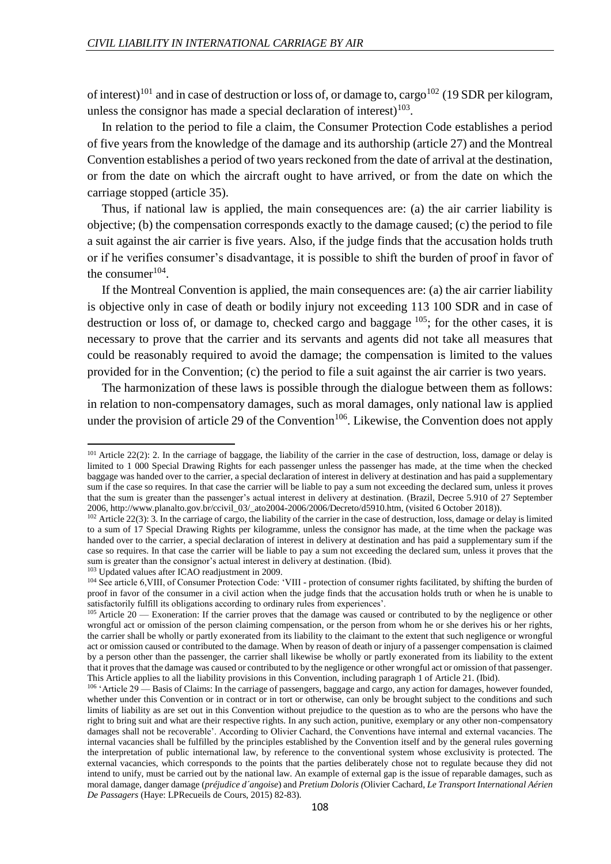$\overline{a}$ 

of interest)<sup>101</sup> and in case of destruction or loss of, or damage to, cargo<sup>102</sup> (19 SDR per kilogram, unless the consignor has made a special declaration of interest) $103$ .

In relation to the period to file a claim, the Consumer Protection Code establishes a period of five years from the knowledge of the damage and its authorship (article 27) and the Montreal Convention establishes a period of two years reckoned from the date of arrival at the destination, or from the date on which the aircraft ought to have arrived, or from the date on which the carriage stopped (article 35).

Thus, if national law is applied, the main consequences are: (a) the air carrier liability is objective; (b) the compensation corresponds exactly to the damage caused; (c) the period to file a suit against the air carrier is five years. Also, if the judge finds that the accusation holds truth or if he verifies consumer's disadvantage, it is possible to shift the burden of proof in favor of the consumer $104$ .

If the Montreal Convention is applied, the main consequences are: (a) the air carrier liability is objective only in case of death or bodily injury not exceeding 113 100 SDR and in case of destruction or loss of, or damage to, checked cargo and baggage  $^{105}$ ; for the other cases, it is necessary to prove that the carrier and its servants and agents did not take all measures that could be reasonably required to avoid the damage; the compensation is limited to the values provided for in the Convention; (c) the period to file a suit against the air carrier is two years.

The harmonization of these laws is possible through the dialogue between them as follows: in relation to non-compensatory damages, such as moral damages, only national law is applied under the provision of article 29 of the Convention<sup>106</sup>. Likewise, the Convention does not apply

 $101$  Article 22(2): 2. In the carriage of baggage, the liability of the carrier in the case of destruction, loss, damage or delay is limited to 1 000 Special Drawing Rights for each passenger unless the passenger has made, at the time when the checked baggage was handed over to the carrier, a special declaration of interest in delivery at destination and has paid a supplementary sum if the case so requires. In that case the carrier will be liable to pay a sum not exceeding the declared sum, unless it proves that the sum is greater than the passenger's actual interest in delivery at destination. (Brazil, Decree 5.910 of 27 September 2006, http://www.planalto.gov.br/ccivil\_03/\_ato2004-2006/2006/Decreto/d5910.htm, (visited 6 October 2018)).

 $102$  Article 22(3): 3. In the carriage of cargo, the liability of the carrier in the case of destruction, loss, damage or delay is limited to a sum of 17 Special Drawing Rights per kilogramme, unless the consignor has made, at the time when the package was handed over to the carrier, a special declaration of interest in delivery at destination and has paid a supplementary sum if the case so requires. In that case the carrier will be liable to pay a sum not exceeding the declared sum, unless it proves that the sum is greater than the consignor's actual interest in delivery at destination. (Ibid). <sup>103</sup> Updated values after ICAO readjustment in 2009.

<sup>104</sup> See article 6,VIII, of Consumer Protection Code: 'VIII - protection of consumer rights facilitated, by shifting the burden of proof in favor of the consumer in a civil action when the judge finds that the accusation holds truth or when he is unable to satisfactorily fulfill its obligations according to ordinary rules from experiences'.

<sup>&</sup>lt;sup>105</sup> Article 20 — Exoneration: If the carrier proves that the damage was caused or contributed to by the negligence or other wrongful act or omission of the person claiming compensation, or the person from whom he or she derives his or her rights, the carrier shall be wholly or partly exonerated from its liability to the claimant to the extent that such negligence or wrongful act or omission caused or contributed to the damage. When by reason of death or injury of a passenger compensation is claimed by a person other than the passenger, the carrier shall likewise be wholly or partly exonerated from its liability to the extent that it proves that the damage was caused or contributed to by the negligence or other wrongful act or omission of that passenger. This Article applies to all the liability provisions in this Convention, including paragraph 1 of Article 21. (Ibid).

<sup>&</sup>lt;sup>106</sup> 'Article 29 — Basis of Claims: In the carriage of passengers, baggage and cargo, any action for damages, however founded, whether under this Convention or in contract or in tort or otherwise, can only be brought subject to the conditions and such limits of liability as are set out in this Convention without prejudice to the question as to who are the persons who have the right to bring suit and what are their respective rights. In any such action, punitive, exemplary or any other non-compensatory damages shall not be recoverable'. According to Olivier Cachard, the Conventions have internal and external vacancies. The internal vacancies shall be fulfilled by the principles established by the Convention itself and by the general rules governing the interpretation of public international law, by reference to the conventional system whose exclusivity is protected. The external vacancies, which corresponds to the points that the parties deliberately chose not to regulate because they did not intend to unify, must be carried out by the national law. An example of external gap is the issue of reparable damages, such as moral damage, danger damage (*préjudice d´angoise*) and *Pretium Doloris (*Olivier Cachard, *Le Transport International Aérien De Passagers* (Haye: LPRecueils de Cours, 2015) 82-83)*.*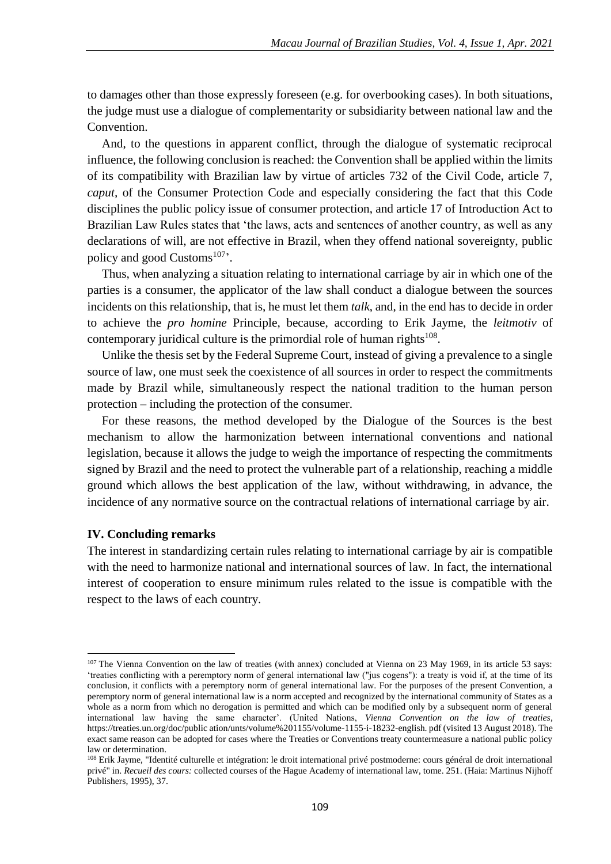to damages other than those expressly foreseen (e.g. for overbooking cases). In both situations, the judge must use a dialogue of complementarity or subsidiarity between national law and the Convention.

And, to the questions in apparent conflict, through the dialogue of systematic reciprocal influence, the following conclusion is reached: the Convention shall be applied within the limits of its compatibility with Brazilian law by virtue of articles 732 of the Civil Code, article 7, *caput,* of the Consumer Protection Code and especially considering the fact that this Code disciplines the public policy issue of consumer protection, and article 17 of Introduction Act to Brazilian Law Rules states that 'the laws, acts and sentences of another country, as well as any declarations of will, are not effective in Brazil, when they offend national sovereignty, public policy and good Customs $107$ .

Thus, when analyzing a situation relating to international carriage by air in which one of the parties is a consumer, the applicator of the law shall conduct a dialogue between the sources incidents on this relationship, that is, he must let them *talk*, and, in the end has to decide in order to achieve the *pro homine* Principle, because, according to Erik Jayme, the *leitmotiv* of contemporary juridical culture is the primordial role of human rights $108$ .

Unlike the thesis set by the Federal Supreme Court, instead of giving a prevalence to a single source of law, one must seek the coexistence of all sources in order to respect the commitments made by Brazil while, simultaneously respect the national tradition to the human person protection – including the protection of the consumer.

For these reasons, the method developed by the Dialogue of the Sources is the best mechanism to allow the harmonization between international conventions and national legislation, because it allows the judge to weigh the importance of respecting the commitments signed by Brazil and the need to protect the vulnerable part of a relationship, reaching a middle ground which allows the best application of the law, without withdrawing, in advance, the incidence of any normative source on the contractual relations of international carriage by air.

### **IV. Concluding remarks**

1

The interest in standardizing certain rules relating to international carriage by air is compatible with the need to harmonize national and international sources of law. In fact, the international interest of cooperation to ensure minimum rules related to the issue is compatible with the respect to the laws of each country.

<sup>&</sup>lt;sup>107</sup> The Vienna Convention on the law of treaties (with annex) concluded at Vienna on 23 May 1969, in its article 53 says: 'treaties conflicting with a peremptory norm of general international law ("jus cogens"): a treaty is void if, at the time of its conclusion, it conflicts with a peremptory norm of general international law. For the purposes of the present Convention, a peremptory norm of general international law is a norm accepted and recognized by the international community of States as a whole as a norm from which no derogation is permitted and which can be modified only by a subsequent norm of general international law having the same character'. (United Nations, *Vienna Convention on the law of treaties*, https://treaties.un.org/doc/public ation/unts/volume%201155/volume-1155-i-18232-english. pdf (visited 13 August 2018). The exact same reason can be adopted for cases where the Treaties or Conventions treaty countermeasure a national public policy law or determination.

<sup>&</sup>lt;sup>108</sup> Erik Jayme, "Identité culturelle et intégration: le droit international privé postmoderne: cours général de droit international privé" in. *Recueil des cours:* collected courses of the Hague Academy of international law, tome. 251. (Haia: Martinus Nijhoff Publishers, 1995), 37.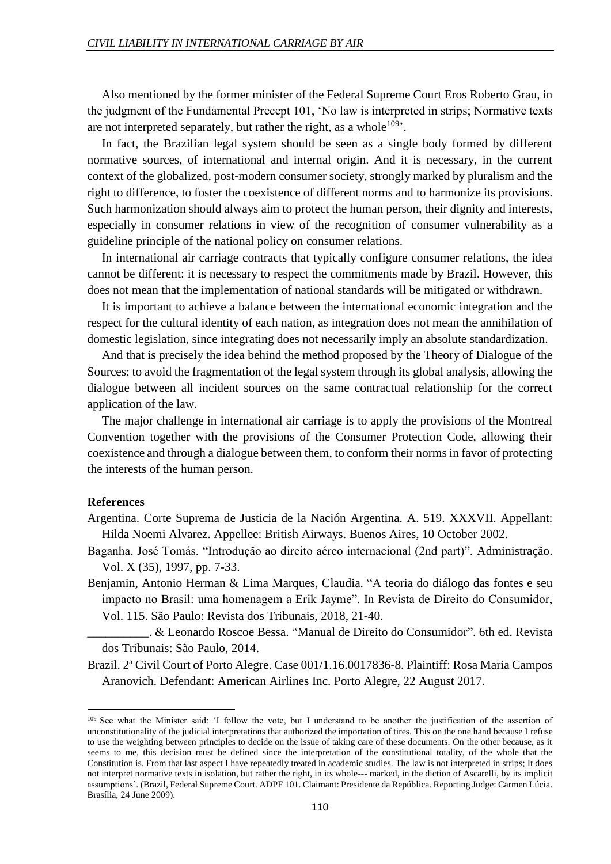Also mentioned by the former minister of the Federal Supreme Court Eros Roberto Grau, in the judgment of the Fundamental Precept 101, 'No law is interpreted in strips; Normative texts are not interpreted separately, but rather the right, as a whole<sup>109</sup>.

In fact, the Brazilian legal system should be seen as a single body formed by different normative sources, of international and internal origin. And it is necessary, in the current context of the globalized, post-modern consumer society, strongly marked by pluralism and the right to difference, to foster the coexistence of different norms and to harmonize its provisions. Such harmonization should always aim to protect the human person, their dignity and interests, especially in consumer relations in view of the recognition of consumer vulnerability as a guideline principle of the national policy on consumer relations.

In international air carriage contracts that typically configure consumer relations, the idea cannot be different: it is necessary to respect the commitments made by Brazil. However, this does not mean that the implementation of national standards will be mitigated or withdrawn.

It is important to achieve a balance between the international economic integration and the respect for the cultural identity of each nation, as integration does not mean the annihilation of domestic legislation, since integrating does not necessarily imply an absolute standardization.

And that is precisely the idea behind the method proposed by the Theory of Dialogue of the Sources: to avoid the fragmentation of the legal system through its global analysis, allowing the dialogue between all incident sources on the same contractual relationship for the correct application of the law.

The major challenge in international air carriage is to apply the provisions of the Montreal Convention together with the provisions of the Consumer Protection Code, allowing their coexistence and through a dialogue between them, to conform their norms in favor of protecting the interests of the human person.

#### **References**

- Argentina. Corte Suprema de Justicia de la Nación Argentina. A. 519. XXXVII. Appellant: Hilda Noemi Alvarez. Appellee: British Airways. Buenos Aires, 10 October 2002.
- Baganha, José Tomás. "Introdução ao direito aéreo internacional (2nd part)". Administração. Vol. X (35), 1997, pp. 7-33.
- Benjamin, Antonio Herman & Lima Marques, Claudia. "A teoria do diálogo das fontes e seu impacto no Brasil: uma homenagem a Erik Jayme". In Revista de Direito do Consumidor, Vol. 115. São Paulo: Revista dos Tribunais, 2018, 21-40.
- \_\_\_\_\_\_\_\_\_\_. & Leonardo Roscoe Bessa. "Manual de Direito do Consumidor". 6th ed. Revista dos Tribunais: São Paulo, 2014.
- Brazil. 2ª Civil Court of Porto Alegre. Case 001/1.16.0017836-8. Plaintiff: Rosa Maria Campos Aranovich. Defendant: American Airlines Inc. Porto Alegre, 22 August 2017.

<sup>&</sup>lt;sup>109</sup> See what the Minister said: 'I follow the vote, but I understand to be another the justification of the assertion of unconstitutionality of the judicial interpretations that authorized the importation of tires. This on the one hand because I refuse to use the weighting between principles to decide on the issue of taking care of these documents. On the other because, as it seems to me, this decision must be defined since the interpretation of the constitutional totality, of the whole that the Constitution is. From that last aspect I have repeatedly treated in academic studies. The law is not interpreted in strips; It does not interpret normative texts in isolation, but rather the right, in its whole--- marked, in the diction of Ascarelli, by its implicit assumptions'. (Brazil, Federal Supreme Court. ADPF 101. Claimant: Presidente da República. Reporting Judge: Carmen Lúcia. Brasília, 24 June 2009).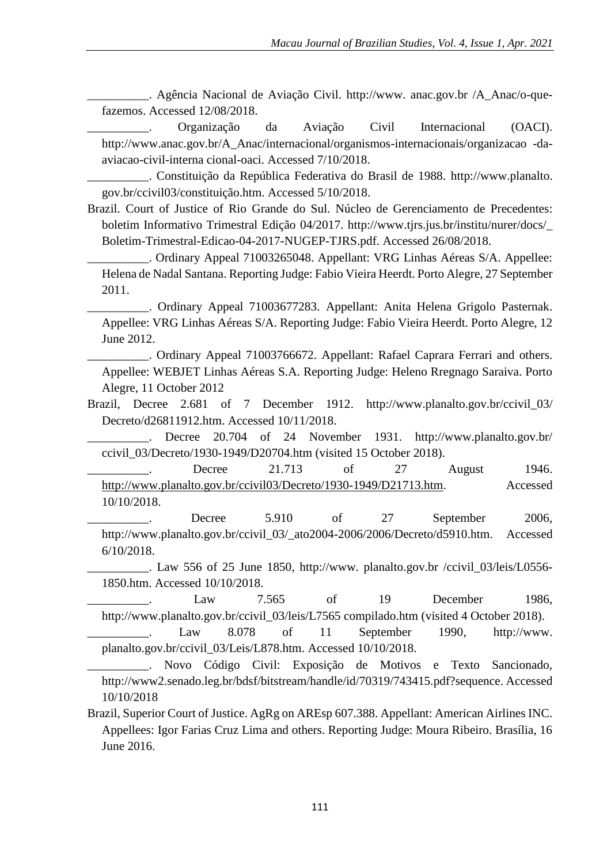\_\_\_\_\_\_\_\_\_\_. Agência Nacional de Aviação Civil. http://www. anac.gov.br /A\_Anac/o-quefazemos. Accessed 12/08/2018.

\_\_\_\_\_\_\_\_\_\_. Organização da Aviação Civil Internacional (OACI). http://www.anac.gov.br/A\_Anac/internacional/organismos-internacionais/organizacao -daaviacao-civil-interna cional-oaci. Accessed 7/10/2018.

\_\_\_\_\_\_\_\_\_\_. Constituição da República Federativa do Brasil de 1988. http://www.planalto. gov.br/ccivil03/constituição.htm. Accessed 5/10/2018.

Brazil. Court of Justice of Rio Grande do Sul. Núcleo de Gerenciamento de Precedentes: boletim Informativo Trimestral Edição 04/2017. http://www.tjrs.jus.br/institu/nurer/docs/\_ Boletim-Trimestral-Edicao-04-2017-NUGEP-TJRS.pdf. Accessed 26/08/2018.

\_\_\_\_\_\_\_\_\_\_. Ordinary Appeal 71003265048. Appellant: VRG Linhas Aéreas S/A. Appellee: Helena de Nadal Santana. Reporting Judge: Fabio Vieira Heerdt. Porto Alegre, 27 September 2011.

\_\_\_\_\_\_\_\_\_\_. Ordinary Appeal 71003677283. Appellant: Anita Helena Grigolo Pasternak. Appellee: VRG Linhas Aéreas S/A. Reporting Judge: Fabio Vieira Heerdt. Porto Alegre, 12 June 2012.

\_\_\_\_\_\_\_\_\_\_. Ordinary Appeal 71003766672. Appellant: Rafael Caprara Ferrari and others. Appellee: WEBJET Linhas Aéreas S.A. Reporting Judge: Heleno Rregnago Saraiva. Porto Alegre, 11 October 2012

Brazil, Decree 2.681 of 7 December 1912. http://www.planalto.gov.br/ccivil\_03/ Decreto/d26811912.htm. Accessed 10/11/2018.

Decree 20.704 of 24 November 1931. http://www.planalto.gov.br/ ccivil\_03/Decreto/1930-1949/D20704.htm (visited 15 October 2018).

\_\_\_\_\_\_\_\_\_\_\_\_. Decree 21.713 of 27 August 1946. http://www.planalto.gov.br/ccivil03/Decreto/1930-1949/D21713.htm. Accessed 10/10/2018.

Decree 5.910 of 27 September 2006, http://www.planalto.gov.br/ccivil\_03/\_ato2004-2006/2006/Decreto/d5910.htm. Accessed 6/10/2018.

. Law 556 of 25 June 1850, http://www. planalto.gov.br /ccivil 03/leis/L0556-1850.htm. Accessed 10/10/2018.

Law 7.565 of 19 December 1986, http://www.planalto.gov.br/ccivil\_03/leis/L7565 compilado.htm (visited 4 October 2018).

Law 8.078 of 11 September 1990, http://www. planalto.gov.br/ccivil\_03/Leis/L878.htm. Accessed 10/10/2018.

\_\_\_\_\_\_\_\_\_\_. Novo Código Civil: Exposição de Motivos e Texto Sancionado, http://www2.senado.leg.br/bdsf/bitstream/handle/id/70319/743415.pdf?sequence. Accessed 10/10/2018

Brazil, Superior Court of Justice. AgRg on AREsp 607.388. Appellant: American Airlines INC. Appellees: Igor Farias Cruz Lima and others. Reporting Judge: Moura Ribeiro. Brasília, 16 June 2016.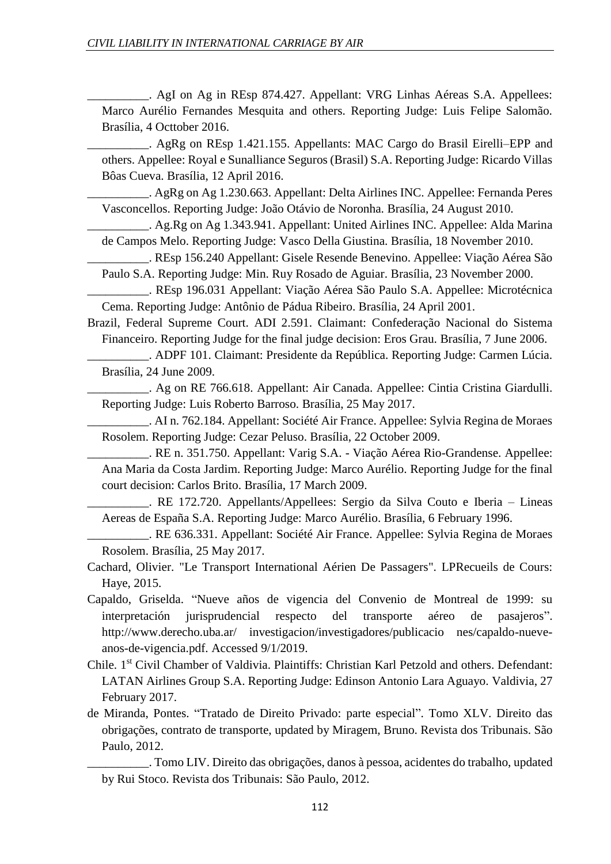\_\_\_\_\_\_\_\_\_\_. AgI on Ag in REsp 874.427. Appellant: VRG Linhas Aéreas S.A. Appellees: Marco Aurélio Fernandes Mesquita and others. Reporting Judge: Luis Felipe Salomão. Brasília, 4 Octtober 2016.

\_\_\_\_\_\_\_\_\_\_. AgRg on REsp 1.421.155. Appellants: MAC Cargo do Brasil Eirelli–EPP and others. Appellee: Royal e Sunalliance Seguros (Brasil) S.A. Reporting Judge: Ricardo Villas Bôas Cueva. Brasília, 12 April 2016.

\_\_\_\_\_\_\_\_\_\_. AgRg on Ag 1.230.663. Appellant: Delta Airlines INC. Appellee: Fernanda Peres Vasconcellos. Reporting Judge: João Otávio de Noronha. Brasília, 24 August 2010.

\_\_\_\_\_\_\_\_\_\_. Ag.Rg on Ag 1.343.941. Appellant: United Airlines INC. Appellee: Alda Marina de Campos Melo. Reporting Judge: Vasco Della Giustina. Brasília, 18 November 2010.

\_\_\_\_\_\_\_\_\_\_. REsp 156.240 Appellant: Gisele Resende Benevino. Appellee: Viação Aérea São Paulo S.A. Reporting Judge: Min. Ruy Rosado de Aguiar. Brasília, 23 November 2000.

\_\_\_\_\_\_\_\_\_\_. REsp 196.031 Appellant: Viação Aérea São Paulo S.A. Appellee: Microtécnica Cema. Reporting Judge: Antônio de Pádua Ribeiro. Brasília, 24 April 2001.

Brazil, Federal Supreme Court. ADI 2.591. Claimant: Confederação Nacional do Sistema Financeiro. Reporting Judge for the final judge decision: Eros Grau. Brasília, 7 June 2006.

\_\_\_\_\_\_\_\_\_\_. ADPF 101. Claimant: Presidente da República. Reporting Judge: Carmen Lúcia. Brasília, 24 June 2009.

\_\_\_\_\_\_\_\_\_\_. Ag on RE 766.618. Appellant: Air Canada. Appellee: Cintia Cristina Giardulli. Reporting Judge: Luis Roberto Barroso. Brasília, 25 May 2017.

\_\_\_\_\_\_\_\_\_\_. AI n. 762.184. Appellant: Société Air France. Appellee: Sylvia Regina de Moraes Rosolem. Reporting Judge: Cezar Peluso. Brasília, 22 October 2009.

\_\_\_\_\_\_\_\_\_\_. RE n. 351.750. Appellant: Varig S.A. - Viação Aérea Rio-Grandense. Appellee: Ana Maria da Costa Jardim. Reporting Judge: Marco Aurélio. Reporting Judge for the final court decision: Carlos Brito. Brasília, 17 March 2009.

\_\_\_\_\_\_\_\_\_\_. RE 172.720. Appellants/Appellees: Sergio da Silva Couto e Iberia – Lineas Aereas de España S.A. Reporting Judge: Marco Aurélio. Brasília, 6 February 1996.

\_\_\_\_\_\_\_\_\_\_. RE 636.331. Appellant: Société Air France. Appellee: Sylvia Regina de Moraes Rosolem. Brasília, 25 May 2017.

- Cachard, Olivier. "Le Transport International Aérien De Passagers". LPRecueils de Cours: Haye, 2015.
- Capaldo, Griselda. "Nueve años de vigencia del Convenio de Montreal de 1999: su interpretación jurisprudencial respecto del transporte aéreo de pasajeros". http://www.derecho.uba.ar/ investigacion/investigadores/publicacio nes/capaldo-nueveanos-de-vigencia.pdf. Accessed 9/1/2019.
- Chile. 1<sup>st</sup> Civil Chamber of Valdivia. Plaintiffs: Christian Karl Petzold and others. Defendant: LATAN Airlines Group S.A. Reporting Judge: Edinson Antonio Lara Aguayo. Valdivia, 27 February 2017.
- de Miranda, Pontes. "Tratado de Direito Privado: parte especial". Tomo XLV. Direito das obrigações, contrato de transporte, updated by Miragem, Bruno. Revista dos Tribunais. São Paulo, 2012.

\_\_\_\_\_\_\_\_\_\_. Tomo LIV. Direito das obrigações, danos à pessoa, acidentes do trabalho, updated by Rui Stoco. Revista dos Tribunais: São Paulo, 2012.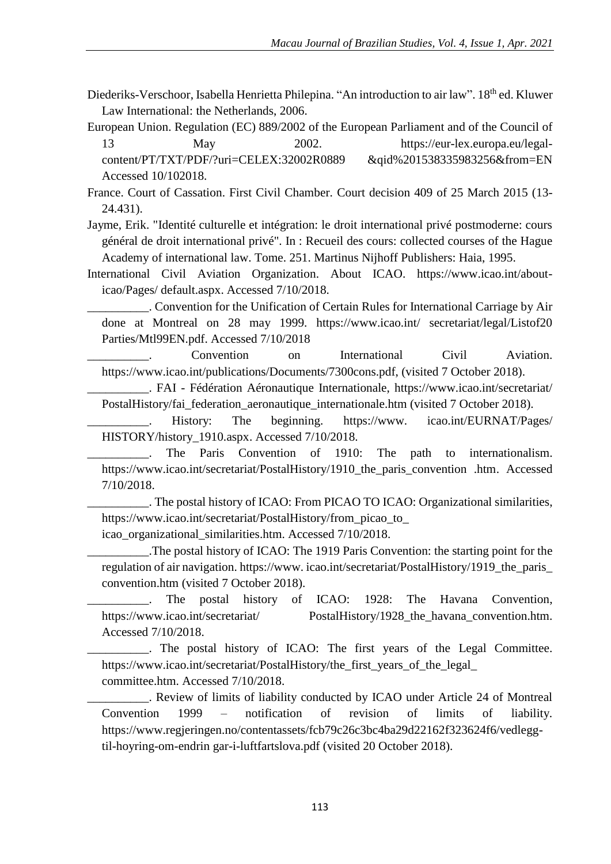Diederiks-Verschoor, Isabella Henrietta Philepina. "An introduction to air law". 18<sup>th</sup> ed. Kluwer Law International: the Netherlands, 2006.

European Union. Regulation (EC) 889/2002 of the European Parliament and of the Council of 13 May 2002. https://eur-lex.europa.eu/legalcontent/PT/TXT/PDF/?uri=CELEX:32002R0889 &qid%201538335983256&from=EN Accessed 10/102018.

France. Court of Cassation. First Civil Chamber. Court decision 409 of 25 March 2015 (13- 24.431).

Jayme, Erik. "Identité culturelle et intégration: le droit international privé postmoderne: cours général de droit international privé". In : Recueil des cours: collected courses of the Hague Academy of international law. Tome. 251. Martinus Nijhoff Publishers: Haia, 1995.

International Civil Aviation Organization. About ICAO. https://www.icao.int/abouticao/Pages/ default.aspx. Accessed 7/10/2018.

\_\_\_\_\_\_\_\_\_\_. Convention for the Unification of Certain Rules for International Carriage by Air done at Montreal on 28 may 1999. https://www.icao.int/ secretariat/legal/Listof20 Parties/Mtl99EN.pdf. Accessed 7/10/2018

Convention on International Civil Aviation. https://www.icao.int/publications/Documents/7300cons.pdf, (visited 7 October 2018).

\_\_\_\_\_\_\_\_\_\_. FAI - Fédération Aéronautique Internationale, https://www.icao.int/secretariat/ PostalHistory/fai\_federation\_aeronautique\_internationale.htm (visited 7 October 2018).

History: The beginning. https://www. icao.int/EURNAT/Pages/ HISTORY/history\_1910.aspx. Accessed 7/10/2018.

The Paris Convention of 1910: The path to internationalism. https://www.icao.int/secretariat/PostalHistory/1910\_the\_paris\_convention .htm. Accessed 7/10/2018.

\_\_\_\_\_\_\_\_\_\_. The postal history of ICAO: From PICAO TO ICAO: Organizational similarities, https://www.icao.int/secretariat/PostalHistory/from\_picao\_to\_

icao\_organizational\_similarities.htm. Accessed 7/10/2018.

\_\_\_\_\_\_\_\_\_\_.The postal history of ICAO: The 1919 Paris Convention: the starting point for the regulation of air navigation. https://www. icao.int/secretariat/PostalHistory/1919\_the\_paris\_ convention.htm (visited 7 October 2018).

\_\_\_\_\_\_\_\_\_\_. The postal history of ICAO: 1928: The Havana Convention, https://www.icao.int/secretariat/ PostalHistory/1928\_the\_havana\_convention.htm. Accessed 7/10/2018.

\_\_\_\_\_\_\_\_\_\_. The postal history of ICAO: The first years of the Legal Committee. https://www.icao.int/secretariat/PostalHistory/the\_first\_years\_of\_the\_legal\_ committee.htm. Accessed 7/10/2018.

\_\_\_\_\_\_\_\_\_\_. Review of limits of liability conducted by ICAO under Article 24 of Montreal Convention 1999 – notification of revision of limits of liability. https://www.regjeringen.no/contentassets/fcb79c26c3bc4ba29d22162f323624f6/vedleggtil-hoyring-om-endrin gar-i-luftfartslova.pdf (visited 20 October 2018).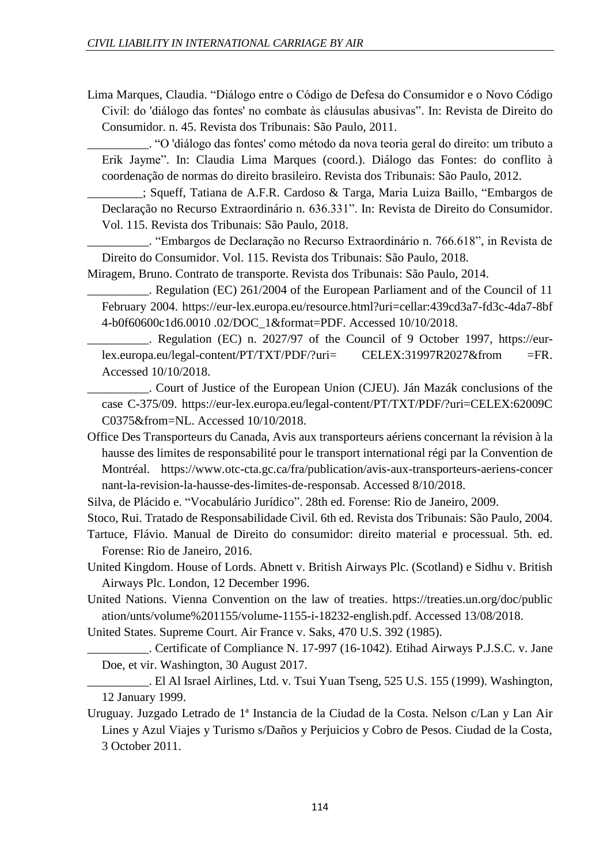Lima Marques, Claudia. "Diálogo entre o Código de Defesa do Consumidor e o Novo Código Civil: do 'diálogo das fontes' no combate às cláusulas abusivas". In: Revista de Direito do Consumidor. n. 45. Revista dos Tribunais: São Paulo, 2011.

\_\_\_\_\_\_\_\_\_\_. "O 'diálogo das fontes' como método da nova teoria geral do direito: um tributo a Erik Jayme". In: Claudia Lima Marques (coord.). Diálogo das Fontes: do conflito à coordenação de normas do direito brasileiro. Revista dos Tribunais: São Paulo, 2012.

\_\_\_\_\_\_\_\_\_; Squeff, Tatiana de A.F.R. Cardoso & Targa, Maria Luiza Baillo, "Embargos de Declaração no Recurso Extraordinário n. 636.331". In: Revista de Direito do Consumidor. Vol. 115. Revista dos Tribunais: São Paulo, 2018.

\_\_\_\_\_\_\_\_\_\_. "Embargos de Declaração no Recurso Extraordinário n. 766.618", in Revista de Direito do Consumidor. Vol. 115. Revista dos Tribunais: São Paulo, 2018.

Miragem, Bruno. Contrato de transporte. Revista dos Tribunais: São Paulo, 2014.

\_\_\_\_\_\_\_\_\_\_. Regulation (EC) 261/2004 of the European Parliament and of the Council of 11 February 2004. https://eur-lex.europa.eu/resource.html?uri=cellar:439cd3a7-fd3c-4da7-8bf 4-b0f60600c1d6.0010 .02/DOC\_1&format=PDF. Accessed 10/10/2018.

\_\_\_\_\_\_\_\_\_\_. Regulation (EC) n. 2027/97 of the Council of 9 October 1997, https://eurlex.europa.eu/legal-content/PT/TXT/PDF/?uri= CELEX:31997R2027&from =FR. Accessed 10/10/2018.

\_\_\_\_\_\_\_\_\_\_. Court of Justice of the European Union (CJEU). Ján Mazák conclusions of the case C-375/09. https://eur-lex.europa.eu/legal-content/PT/TXT/PDF/?uri=CELEX:62009C C0375&from=NL. Accessed 10/10/2018.

Office Des Transporteurs du Canada, Avis aux transporteurs aériens concernant la révision à la hausse des limites de responsabilité pour le transport international régi par la Convention de Montréal. https://www.otc-cta.gc.ca/fra/publication/avis-aux-transporteurs-aeriens-concer nant-la-revision-la-hausse-des-limites-de-responsab. Accessed 8/10/2018.

Silva, de Plácido e. "Vocabulário Jurídico". 28th ed. Forense: Rio de Janeiro, 2009.

Stoco, Rui. Tratado de Responsabilidade Civil. 6th ed. Revista dos Tribunais: São Paulo, 2004.

- Tartuce, Flávio. Manual de Direito do consumidor: direito material e processual. 5th. ed. Forense: Rio de Janeiro, 2016.
- United Kingdom. House of Lords. Abnett v. British Airways Plc. (Scotland) e Sidhu v. British Airways Plc. London, 12 December 1996.
- United Nations. Vienna Convention on the law of treaties. https://treaties.un.org/doc/public ation/unts/volume%201155/volume-1155-i-18232-english.pdf. Accessed 13/08/2018.

United States. Supreme Court. Air France v. Saks, 470 U.S. 392 (1985).

\_\_\_\_\_\_\_\_\_\_. Certificate of Compliance N. 17-997 (16-1042). Etihad Airways P.J.S.C. v. Jane Doe, et vir. Washington, 30 August 2017.

\_\_\_\_\_\_\_\_\_\_. El Al Israel Airlines, Ltd. v. Tsui Yuan Tseng, 525 U.S. 155 (1999). Washington, 12 January 1999.

Uruguay. Juzgado Letrado de 1ª Instancia de la Ciudad de la Costa. Nelson c/Lan y Lan Air Lines y Azul Viajes y Turismo s/Daños y Perjuicios y Cobro de Pesos. Ciudad de la Costa, 3 October 2011.